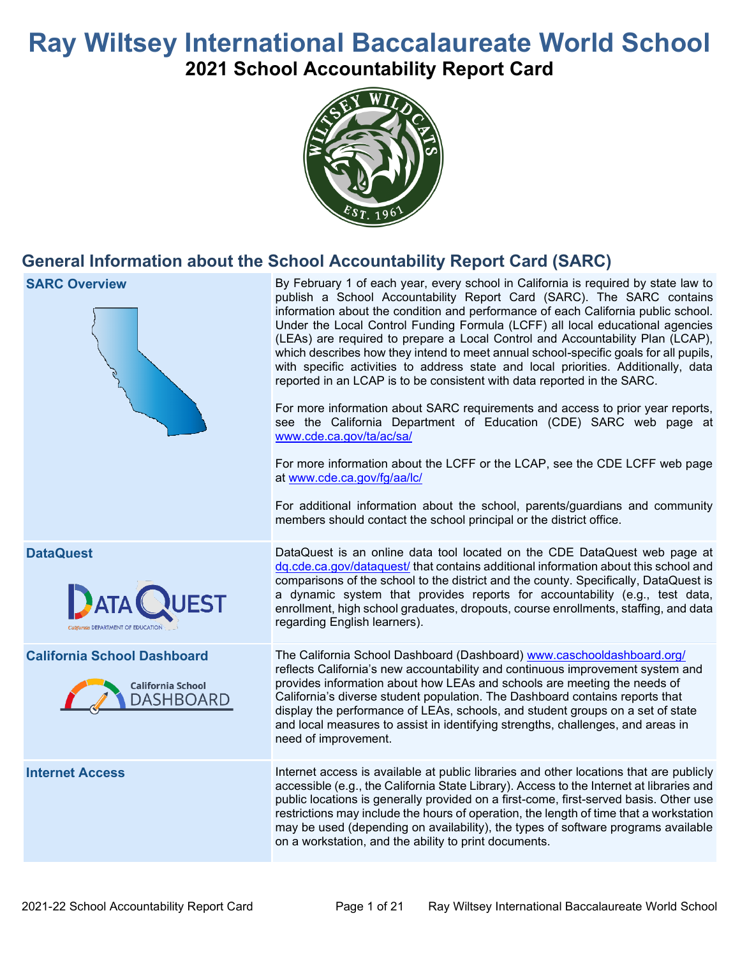# **Ray Wiltsey International Baccalaureate World School 2021 School Accountability Report Card**



# **General Information about the School Accountability Report Card (SARC)**

| <b>SARC Overview</b>                                                               | By February 1 of each year, every school in California is required by state law to<br>publish a School Accountability Report Card (SARC). The SARC contains<br>information about the condition and performance of each California public school.<br>Under the Local Control Funding Formula (LCFF) all local educational agencies<br>(LEAs) are required to prepare a Local Control and Accountability Plan (LCAP),<br>which describes how they intend to meet annual school-specific goals for all pupils,<br>with specific activities to address state and local priorities. Additionally, data<br>reported in an LCAP is to be consistent with data reported in the SARC.<br>For more information about SARC requirements and access to prior year reports,<br>see the California Department of Education (CDE) SARC web page at<br>www.cde.ca.gov/ta/ac/sa/<br>For more information about the LCFF or the LCAP, see the CDE LCFF web page<br>at www.cde.ca.gov/fg/aa/lc/<br>For additional information about the school, parents/guardians and community<br>members should contact the school principal or the district office. |
|------------------------------------------------------------------------------------|-------------------------------------------------------------------------------------------------------------------------------------------------------------------------------------------------------------------------------------------------------------------------------------------------------------------------------------------------------------------------------------------------------------------------------------------------------------------------------------------------------------------------------------------------------------------------------------------------------------------------------------------------------------------------------------------------------------------------------------------------------------------------------------------------------------------------------------------------------------------------------------------------------------------------------------------------------------------------------------------------------------------------------------------------------------------------------------------------------------------------------------|
| <b>DataQuest</b><br>raia DEPARTMENT OF EDUCATIO                                    | DataQuest is an online data tool located on the CDE DataQuest web page at<br>dq.cde.ca.gov/dataquest/ that contains additional information about this school and<br>comparisons of the school to the district and the county. Specifically, DataQuest is<br>a dynamic system that provides reports for accountability (e.g., test data,<br>enrollment, high school graduates, dropouts, course enrollments, staffing, and data<br>regarding English learners).                                                                                                                                                                                                                                                                                                                                                                                                                                                                                                                                                                                                                                                                      |
| <b>California School Dashboard</b><br><b>California School</b><br><b>DASHBOARD</b> | The California School Dashboard (Dashboard) www.caschooldashboard.org/<br>reflects California's new accountability and continuous improvement system and<br>provides information about how LEAs and schools are meeting the needs of<br>California's diverse student population. The Dashboard contains reports that<br>display the performance of LEAs, schools, and student groups on a set of state<br>and local measures to assist in identifying strengths, challenges, and areas in<br>need of improvement.                                                                                                                                                                                                                                                                                                                                                                                                                                                                                                                                                                                                                   |
| <b>Internet Access</b>                                                             | Internet access is available at public libraries and other locations that are publicly<br>accessible (e.g., the California State Library). Access to the Internet at libraries and<br>public locations is generally provided on a first-come, first-served basis. Other use<br>restrictions may include the hours of operation, the length of time that a workstation<br>may be used (depending on availability), the types of software programs available<br>on a workstation, and the ability to print documents.                                                                                                                                                                                                                                                                                                                                                                                                                                                                                                                                                                                                                 |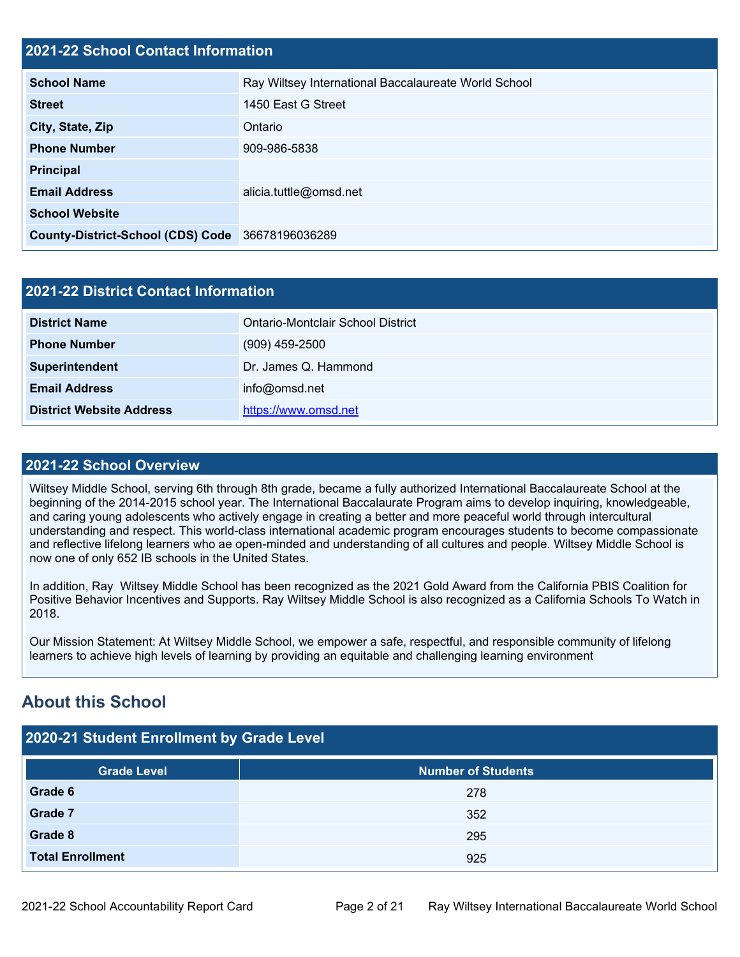#### **2021-22 School Contact Information**

| <b>School Name</b>                       | Ray Wiltsey International Baccalaureate World School |  |  |  |
|------------------------------------------|------------------------------------------------------|--|--|--|
| <b>Street</b>                            | 1450 East G Street                                   |  |  |  |
| City, State, Zip                         | Ontario                                              |  |  |  |
| <b>Phone Number</b>                      | 909-986-5838                                         |  |  |  |
| <b>Principal</b>                         |                                                      |  |  |  |
| <b>Email Address</b>                     | alicia.tuttle@omsd.net                               |  |  |  |
| <b>School Website</b>                    |                                                      |  |  |  |
| <b>County-District-School (CDS) Code</b> | 36678196036289                                       |  |  |  |

| 2021-22 District Contact Information |                                   |  |
|--------------------------------------|-----------------------------------|--|
| <b>District Name</b>                 | Ontario-Montclair School District |  |
| <b>Phone Number</b>                  | $(909)$ 459-2500                  |  |
| Superintendent                       | Dr. James Q. Hammond              |  |
| <b>Email Address</b>                 | info@omsd.net                     |  |
| <b>District Website Address</b>      | https://www.omsd.net              |  |

#### **2021-22 School Overview**

Wiltsey Middle School, serving 6th through 8th grade, became a fully authorized International Baccalaureate School at the beginning of the 2014-2015 school year. The International Baccalaurate Program aims to develop inquiring, knowledgeable, and caring young adolescents who actively engage in creating a better and more peaceful world through intercultural understanding and respect. This world-class international academic program encourages students to become compassionate and reflective lifelong learners who ae open-minded and understanding of all cultures and people. Wiltsey Middle School is now one of only 652 IB schools in the United States.

In addition, Ray Wiltsey Middle School has been recognized as the 2021 Gold Award from the California PBIS Coalition for Positive Behavior Incentives and Supports. Ray Wiltsey Middle School is also recognized as a California Schools To Watch in 2018.

Our Mission Statement: At Wiltsey Middle School, we empower a safe, respectful, and responsible community of lifelong learners to achieve high levels of learning by providing an equitable and challenging learning environment

## **About this School**

| 2020-21 Student Enrollment by Grade Level |                           |  |  |  |
|-------------------------------------------|---------------------------|--|--|--|
| <b>Grade Level</b>                        | <b>Number of Students</b> |  |  |  |
| Grade 6                                   | 278                       |  |  |  |
| Grade 7                                   | 352                       |  |  |  |
| Grade 8                                   | 295                       |  |  |  |
| <b>Total Enrollment</b>                   | 925                       |  |  |  |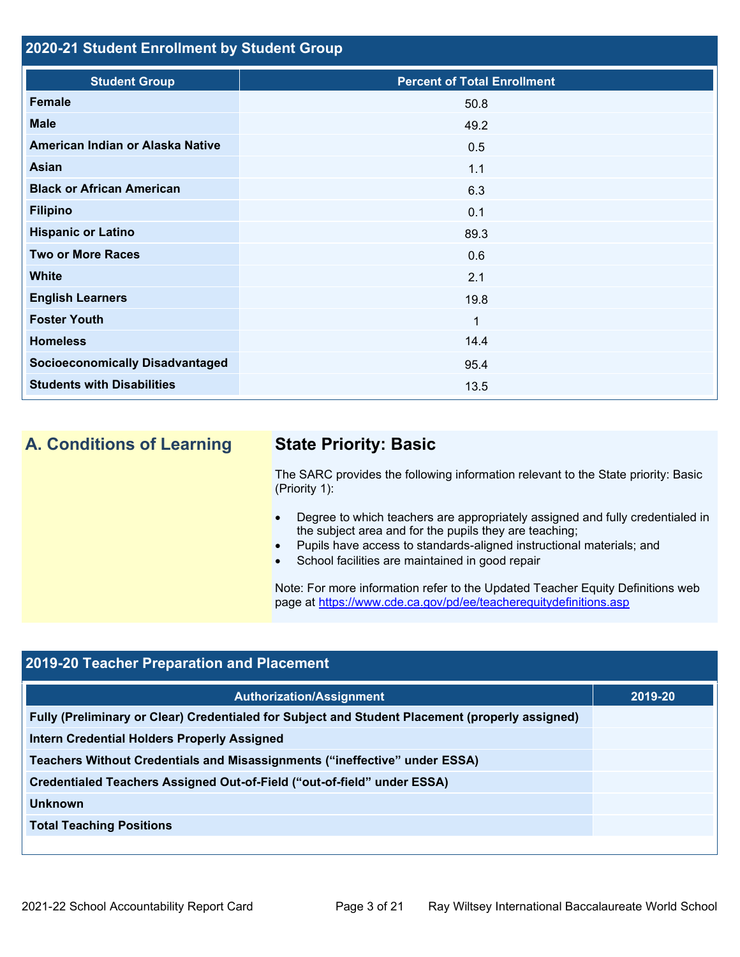#### **2020-21 Student Enrollment by Student Group**

| <b>Student Group</b>                   | <b>Percent of Total Enrollment</b> |
|----------------------------------------|------------------------------------|
| <b>Female</b>                          | 50.8                               |
| <b>Male</b>                            | 49.2                               |
| American Indian or Alaska Native       | 0.5                                |
| Asian                                  | 1.1                                |
| <b>Black or African American</b>       | 6.3                                |
| <b>Filipino</b>                        | 0.1                                |
| <b>Hispanic or Latino</b>              | 89.3                               |
| <b>Two or More Races</b>               | 0.6                                |
| <b>White</b>                           | 2.1                                |
| <b>English Learners</b>                | 19.8                               |
| <b>Foster Youth</b>                    | 1                                  |
| <b>Homeless</b>                        | 14.4                               |
| <b>Socioeconomically Disadvantaged</b> | 95.4                               |
| <b>Students with Disabilities</b>      | 13.5                               |

## **A. Conditions of Learning State Priority: Basic**

The SARC provides the following information relevant to the State priority: Basic (Priority 1):

- Degree to which teachers are appropriately assigned and fully credentialed in the subject area and for the pupils they are teaching;
- Pupils have access to standards-aligned instructional materials; and
- School facilities are maintained in good repair

Note: For more information refer to the Updated Teacher Equity Definitions web page at<https://www.cde.ca.gov/pd/ee/teacherequitydefinitions.asp>

### **2019-20 Teacher Preparation and Placement**

| <b>Authorization/Assignment</b>                                                                 | 2019-20 |
|-------------------------------------------------------------------------------------------------|---------|
| Fully (Preliminary or Clear) Credentialed for Subject and Student Placement (properly assigned) |         |
| <b>Intern Credential Holders Properly Assigned</b>                                              |         |
| Teachers Without Credentials and Misassignments ("ineffective" under ESSA)                      |         |
| Credentialed Teachers Assigned Out-of-Field ("out-of-field" under ESSA)                         |         |
| <b>Unknown</b>                                                                                  |         |
| <b>Total Teaching Positions</b>                                                                 |         |
|                                                                                                 |         |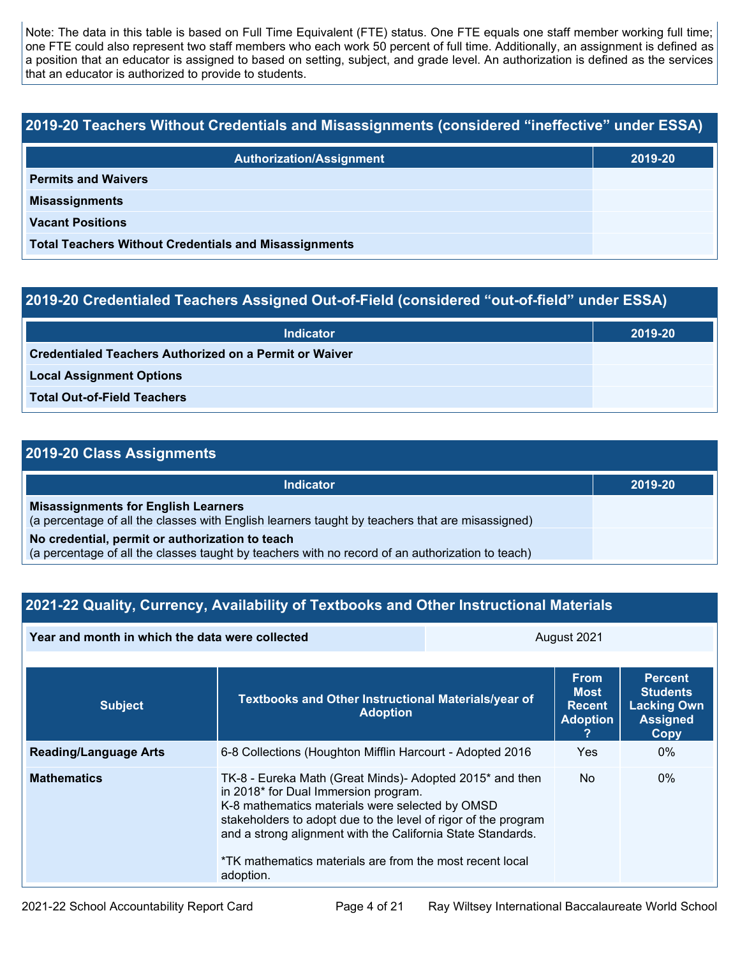Note: The data in this table is based on Full Time Equivalent (FTE) status. One FTE equals one staff member working full time; one FTE could also represent two staff members who each work 50 percent of full time. Additionally, an assignment is defined as a position that an educator is assigned to based on setting, subject, and grade level. An authorization is defined as the services that an educator is authorized to provide to students.

# **2019-20 Teachers Without Credentials and Misassignments (considered "ineffective" under ESSA)**

| <b>Authorization/Assignment</b>                              | 2019-20 |  |
|--------------------------------------------------------------|---------|--|
| <b>Permits and Waivers</b>                                   |         |  |
| <b>Misassignments</b>                                        |         |  |
| <b>Vacant Positions</b>                                      |         |  |
| <b>Total Teachers Without Credentials and Misassignments</b> |         |  |

#### **2019-20 Credentialed Teachers Assigned Out-of-Field (considered "out-of-field" under ESSA)**

| <b>Indicator</b>                                       | 2019-20 |
|--------------------------------------------------------|---------|
| Credentialed Teachers Authorized on a Permit or Waiver |         |
| <b>Local Assignment Options</b>                        |         |
| <b>Total Out-of-Field Teachers</b>                     |         |

### **2019-20 Class Assignments**

| <b>Indicator</b>                                                                                                                                    | 2019-20 |
|-----------------------------------------------------------------------------------------------------------------------------------------------------|---------|
| <b>Misassignments for English Learners</b><br>(a percentage of all the classes with English learners taught by teachers that are misassigned)       |         |
| No credential, permit or authorization to teach<br>(a percentage of all the classes taught by teachers with no record of an authorization to teach) |         |

#### **2021-22 Quality, Currency, Availability of Textbooks and Other Instructional Materials**

| Year and month in which the data were collected |                                                                                                                                                                                                                                                                                                                                                               | August 2021 |                                                                |                                                                                    |  |
|-------------------------------------------------|---------------------------------------------------------------------------------------------------------------------------------------------------------------------------------------------------------------------------------------------------------------------------------------------------------------------------------------------------------------|-------------|----------------------------------------------------------------|------------------------------------------------------------------------------------|--|
| <b>Subject</b>                                  | Textbooks and Other Instructional Materials/year of<br><b>Adoption</b>                                                                                                                                                                                                                                                                                        |             | <b>From</b><br><b>Most</b><br><b>Recent</b><br><b>Adoption</b> | <b>Percent</b><br><b>Students</b><br><b>Lacking Own</b><br><b>Assigned</b><br>Copy |  |
| <b>Reading/Language Arts</b>                    | Yes.<br>$0\%$<br>6-8 Collections (Houghton Mifflin Harcourt - Adopted 2016                                                                                                                                                                                                                                                                                    |             |                                                                |                                                                                    |  |
| <b>Mathematics</b>                              | TK-8 - Eureka Math (Great Minds)- Adopted 2015* and then<br>in 2018* for Dual Immersion program.<br>K-8 mathematics materials were selected by OMSD<br>stakeholders to adopt due to the level of rigor of the program<br>and a strong alignment with the California State Standards.<br>*TK mathematics materials are from the most recent local<br>adoption. |             | <b>No</b>                                                      | $0\%$                                                                              |  |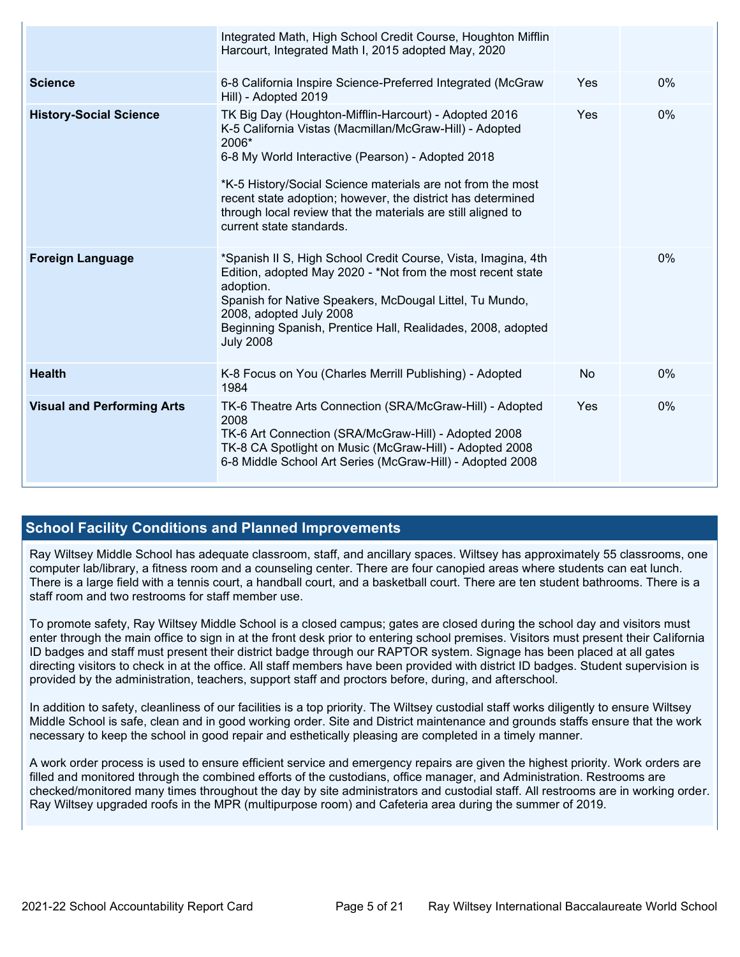|                                   | Integrated Math, High School Credit Course, Houghton Mifflin<br>Harcourt, Integrated Math I, 2015 adopted May, 2020                                                                                                                                                                                                                                                                                      |     |       |
|-----------------------------------|----------------------------------------------------------------------------------------------------------------------------------------------------------------------------------------------------------------------------------------------------------------------------------------------------------------------------------------------------------------------------------------------------------|-----|-------|
| <b>Science</b>                    | 6-8 California Inspire Science-Preferred Integrated (McGraw<br>Hill) - Adopted 2019                                                                                                                                                                                                                                                                                                                      | Yes | $0\%$ |
| <b>History-Social Science</b>     | TK Big Day (Houghton-Mifflin-Harcourt) - Adopted 2016<br>K-5 California Vistas (Macmillan/McGraw-Hill) - Adopted<br>2006*<br>6-8 My World Interactive (Pearson) - Adopted 2018<br>*K-5 History/Social Science materials are not from the most<br>recent state adoption; however, the district has determined<br>through local review that the materials are still aligned to<br>current state standards. | Yes | 0%    |
| <b>Foreign Language</b>           | *Spanish II S, High School Credit Course, Vista, Imagina, 4th<br>Edition, adopted May 2020 - *Not from the most recent state<br>adoption.<br>Spanish for Native Speakers, McDougal Littel, Tu Mundo,<br>2008, adopted July 2008<br>Beginning Spanish, Prentice Hall, Realidades, 2008, adopted<br><b>July 2008</b>                                                                                       |     | 0%    |
| <b>Health</b>                     | K-8 Focus on You (Charles Merrill Publishing) - Adopted<br>1984                                                                                                                                                                                                                                                                                                                                          | No  | 0%    |
| <b>Visual and Performing Arts</b> | TK-6 Theatre Arts Connection (SRA/McGraw-Hill) - Adopted<br>2008<br>TK-6 Art Connection (SRA/McGraw-Hill) - Adopted 2008<br>TK-8 CA Spotlight on Music (McGraw-Hill) - Adopted 2008<br>6-8 Middle School Art Series (McGraw-Hill) - Adopted 2008                                                                                                                                                         | Yes | 0%    |

#### **School Facility Conditions and Planned Improvements**

Ray Wiltsey Middle School has adequate classroom, staff, and ancillary spaces. Wiltsey has approximately 55 classrooms, one computer lab/library, a fitness room and a counseling center. There are four canopied areas where students can eat lunch. There is a large field with a tennis court, a handball court, and a basketball court. There are ten student bathrooms. There is a staff room and two restrooms for staff member use.

To promote safety, Ray Wiltsey Middle School is a closed campus; gates are closed during the school day and visitors must enter through the main office to sign in at the front desk prior to entering school premises. Visitors must present their California ID badges and staff must present their district badge through our RAPTOR system. Signage has been placed at all gates directing visitors to check in at the office. All staff members have been provided with district ID badges. Student supervision is provided by the administration, teachers, support staff and proctors before, during, and afterschool.

In addition to safety, cleanliness of our facilities is a top priority. The Wiltsey custodial staff works diligently to ensure Wiltsey Middle School is safe, clean and in good working order. Site and District maintenance and grounds staffs ensure that the work necessary to keep the school in good repair and esthetically pleasing are completed in a timely manner.

A work order process is used to ensure efficient service and emergency repairs are given the highest priority. Work orders are filled and monitored through the combined efforts of the custodians, office manager, and Administration. Restrooms are checked/monitored many times throughout the day by site administrators and custodial staff. All restrooms are in working order. Ray Wiltsey upgraded roofs in the MPR (multipurpose room) and Cafeteria area during the summer of 2019.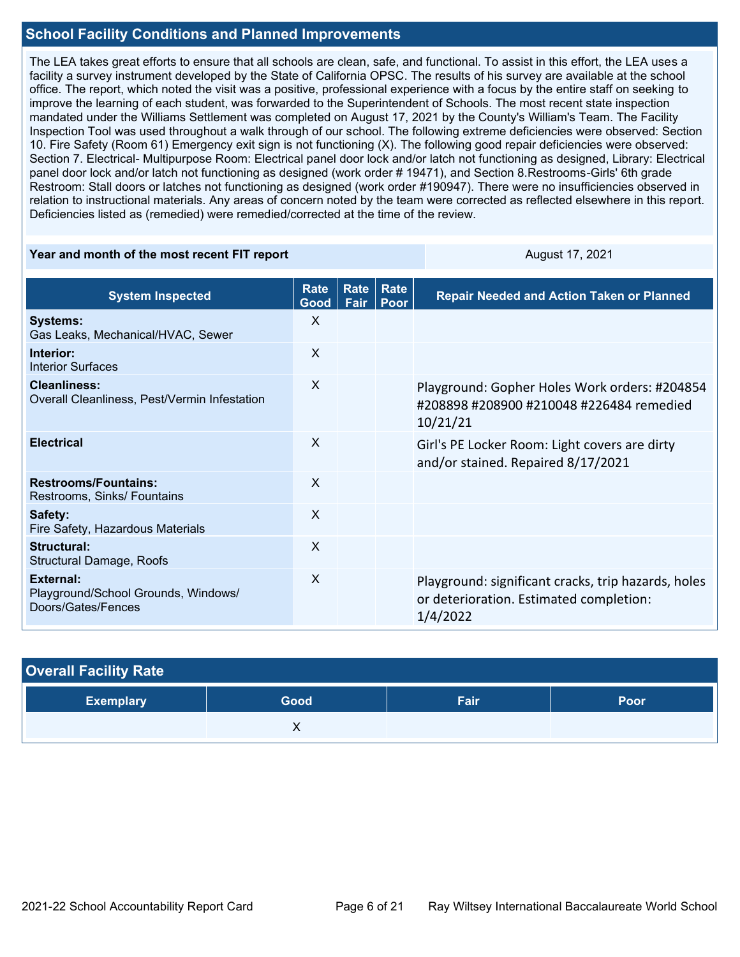#### **School Facility Conditions and Planned Improvements**

The LEA takes great efforts to ensure that all schools are clean, safe, and functional. To assist in this effort, the LEA uses a facility a survey instrument developed by the State of California OPSC. The results of his survey are available at the school office. The report, which noted the visit was a positive, professional experience with a focus by the entire staff on seeking to improve the learning of each student, was forwarded to the Superintendent of Schools. The most recent state inspection mandated under the Williams Settlement was completed on August 17, 2021 by the County's William's Team. The Facility Inspection Tool was used throughout a walk through of our school. The following extreme deficiencies were observed: Section 10. Fire Safety (Room 61) Emergency exit sign is not functioning (X). The following good repair deficiencies were observed: Section 7. Electrical- Multipurpose Room: Electrical panel door lock and/or latch not functioning as designed, Library: Electrical panel door lock and/or latch not functioning as designed (work order # 19471), and Section 8.Restrooms-Girls' 6th grade Restroom: Stall doors or latches not functioning as designed (work order #190947). There were no insufficiencies observed in relation to instructional materials. Any areas of concern noted by the team were corrected as reflected elsewhere in this report. Deficiencies listed as (remedied) were remedied/corrected at the time of the review.

#### **Year and month of the most recent FIT report** August 17, 2021

| <b>System Inspected</b>                                                | <b>Rate</b><br>Good       | <b>Rate</b><br>Fair | <b>Rate</b><br>Poor | <b>Repair Needed and Action Taken or Planned</b>                                                           |
|------------------------------------------------------------------------|---------------------------|---------------------|---------------------|------------------------------------------------------------------------------------------------------------|
| <b>Systems:</b><br>Gas Leaks, Mechanical/HVAC, Sewer                   | X                         |                     |                     |                                                                                                            |
| Interior:<br>Interior Surfaces                                         | $\boldsymbol{\mathsf{X}}$ |                     |                     |                                                                                                            |
| <b>Cleanliness:</b><br>Overall Cleanliness, Pest/Vermin Infestation    | $\sf X$                   |                     |                     | Playground: Gopher Holes Work orders: #204854<br>#208898 #208900 #210048 #226484 remedied<br>10/21/21      |
| <b>Electrical</b>                                                      | $\mathsf{X}$              |                     |                     | Girl's PE Locker Room: Light covers are dirty<br>and/or stained. Repaired 8/17/2021                        |
| <b>Restrooms/Fountains:</b><br>Restrooms, Sinks/ Fountains             | X                         |                     |                     |                                                                                                            |
| Safety:<br>Fire Safety, Hazardous Materials                            | X                         |                     |                     |                                                                                                            |
| Structural:<br>Structural Damage, Roofs                                | $\mathsf{X}$              |                     |                     |                                                                                                            |
| External:<br>Playground/School Grounds, Windows/<br>Doors/Gates/Fences | $\mathsf{X}$              |                     |                     | Playground: significant cracks, trip hazards, holes<br>or deterioration. Estimated completion:<br>1/4/2022 |

| <b>Overall Facility Rate</b> |      |      |             |  |  |  |  |
|------------------------------|------|------|-------------|--|--|--|--|
| <b>Exemplary</b>             | Good | Fair | <b>Poor</b> |  |  |  |  |
|                              |      |      |             |  |  |  |  |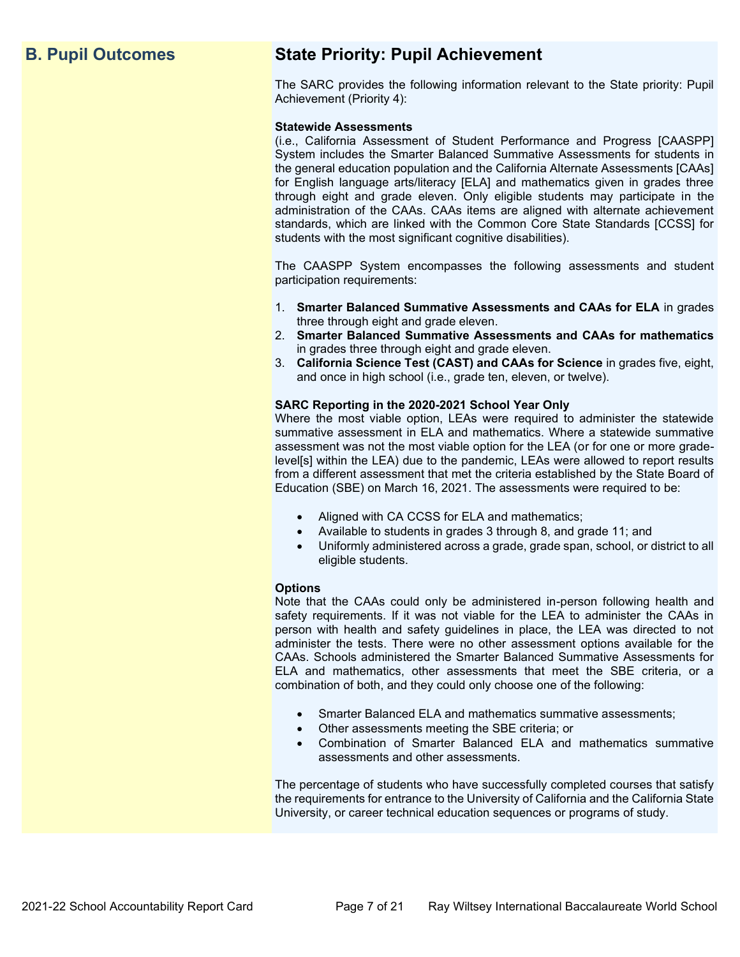## **B. Pupil Outcomes State Priority: Pupil Achievement**

The SARC provides the following information relevant to the State priority: Pupil Achievement (Priority 4):

#### **Statewide Assessments**

(i.e., California Assessment of Student Performance and Progress [CAASPP] System includes the Smarter Balanced Summative Assessments for students in the general education population and the California Alternate Assessments [CAAs] for English language arts/literacy [ELA] and mathematics given in grades three through eight and grade eleven. Only eligible students may participate in the administration of the CAAs. CAAs items are aligned with alternate achievement standards, which are linked with the Common Core State Standards [CCSS] for students with the most significant cognitive disabilities).

The CAASPP System encompasses the following assessments and student participation requirements:

- 1. **Smarter Balanced Summative Assessments and CAAs for ELA** in grades three through eight and grade eleven.
- 2. **Smarter Balanced Summative Assessments and CAAs for mathematics** in grades three through eight and grade eleven.
- 3. **California Science Test (CAST) and CAAs for Science** in grades five, eight, and once in high school (i.e., grade ten, eleven, or twelve).

#### **SARC Reporting in the 2020-2021 School Year Only**

Where the most viable option, LEAs were required to administer the statewide summative assessment in ELA and mathematics. Where a statewide summative assessment was not the most viable option for the LEA (or for one or more gradelevel[s] within the LEA) due to the pandemic, LEAs were allowed to report results from a different assessment that met the criteria established by the State Board of Education (SBE) on March 16, 2021. The assessments were required to be:

- Aligned with CA CCSS for ELA and mathematics;
- Available to students in grades 3 through 8, and grade 11; and
- Uniformly administered across a grade, grade span, school, or district to all eligible students.

#### **Options**

Note that the CAAs could only be administered in-person following health and safety requirements. If it was not viable for the LEA to administer the CAAs in person with health and safety guidelines in place, the LEA was directed to not administer the tests. There were no other assessment options available for the CAAs. Schools administered the Smarter Balanced Summative Assessments for ELA and mathematics, other assessments that meet the SBE criteria, or a combination of both, and they could only choose one of the following:

- Smarter Balanced ELA and mathematics summative assessments;
- Other assessments meeting the SBE criteria; or
- Combination of Smarter Balanced ELA and mathematics summative assessments and other assessments.

The percentage of students who have successfully completed courses that satisfy the requirements for entrance to the University of California and the California State University, or career technical education sequences or programs of study.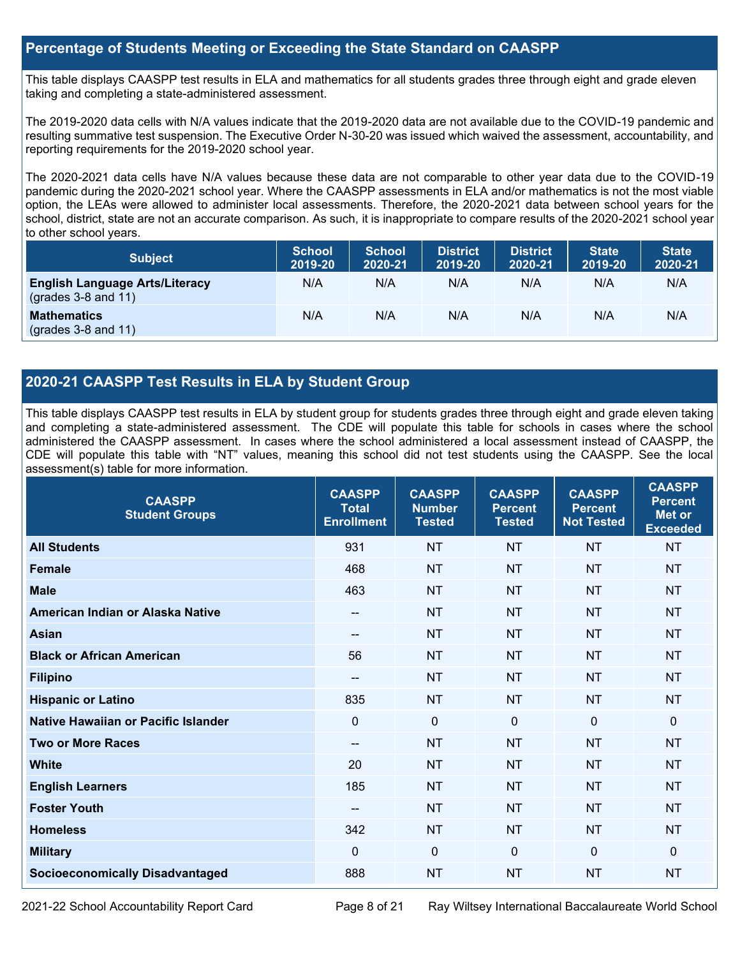#### **Percentage of Students Meeting or Exceeding the State Standard on CAASPP**

This table displays CAASPP test results in ELA and mathematics for all students grades three through eight and grade eleven taking and completing a state-administered assessment.

The 2019-2020 data cells with N/A values indicate that the 2019-2020 data are not available due to the COVID-19 pandemic and resulting summative test suspension. The Executive Order N-30-20 was issued which waived the assessment, accountability, and reporting requirements for the 2019-2020 school year.

The 2020-2021 data cells have N/A values because these data are not comparable to other year data due to the COVID-19 pandemic during the 2020-2021 school year. Where the CAASPP assessments in ELA and/or mathematics is not the most viable option, the LEAs were allowed to administer local assessments. Therefore, the 2020-2021 data between school years for the school, district, state are not an accurate comparison. As such, it is inappropriate to compare results of the 2020-2021 school year to other school years.

| <b>Subject</b>                                                       | <b>School</b><br>2019-20 | <b>School</b><br>2020-21 | <b>District</b><br>2019-20 | <b>District</b><br>2020-21 | <b>State</b><br>2019-20 | <b>State</b><br>2020-21 |
|----------------------------------------------------------------------|--------------------------|--------------------------|----------------------------|----------------------------|-------------------------|-------------------------|
| <b>English Language Arts/Literacy</b><br>$\left($ grades 3-8 and 11) | N/A                      | N/A                      | N/A                        | N/A                        | N/A                     | N/A                     |
| <b>Mathematics</b><br>$(grades 3-8 and 11)$                          | N/A                      | N/A                      | N/A                        | N/A                        | N/A                     | N/A                     |

#### **2020-21 CAASPP Test Results in ELA by Student Group**

This table displays CAASPP test results in ELA by student group for students grades three through eight and grade eleven taking and completing a state-administered assessment. The CDE will populate this table for schools in cases where the school administered the CAASPP assessment. In cases where the school administered a local assessment instead of CAASPP, the CDE will populate this table with "NT" values, meaning this school did not test students using the CAASPP. See the local assessment(s) table for more information.

| <b>CAASPP</b><br><b>Student Groups</b> | <b>CAASPP</b><br><b>Total</b><br><b>Enrollment</b> | <b>CAASPP</b><br><b>Number</b><br><b>Tested</b> | <b>CAASPP</b><br><b>Percent</b><br><b>Tested</b> | <b>CAASPP</b><br><b>Percent</b><br><b>Not Tested</b> | <b>CAASPP</b><br><b>Percent</b><br><b>Met or</b><br><b>Exceeded</b> |
|----------------------------------------|----------------------------------------------------|-------------------------------------------------|--------------------------------------------------|------------------------------------------------------|---------------------------------------------------------------------|
| <b>All Students</b>                    | 931                                                | <b>NT</b>                                       | <b>NT</b>                                        | <b>NT</b>                                            | <b>NT</b>                                                           |
| <b>Female</b>                          | 468                                                | <b>NT</b>                                       | <b>NT</b>                                        | <b>NT</b>                                            | <b>NT</b>                                                           |
| <b>Male</b>                            | 463                                                | <b>NT</b>                                       | <b>NT</b>                                        | <b>NT</b>                                            | <b>NT</b>                                                           |
| American Indian or Alaska Native       | $- -$                                              | <b>NT</b>                                       | <b>NT</b>                                        | <b>NT</b>                                            | <b>NT</b>                                                           |
| <b>Asian</b>                           | $\qquad \qquad -$                                  | <b>NT</b>                                       | <b>NT</b>                                        | <b>NT</b>                                            | <b>NT</b>                                                           |
| <b>Black or African American</b>       | 56                                                 | <b>NT</b>                                       | <b>NT</b>                                        | <b>NT</b>                                            | <b>NT</b>                                                           |
| <b>Filipino</b>                        | $\qquad \qquad -$                                  | <b>NT</b>                                       | <b>NT</b>                                        | <b>NT</b>                                            | <b>NT</b>                                                           |
| <b>Hispanic or Latino</b>              | 835                                                | <b>NT</b>                                       | <b>NT</b>                                        | <b>NT</b>                                            | <b>NT</b>                                                           |
| Native Hawaiian or Pacific Islander    | $\mathbf 0$                                        | $\mathbf 0$                                     | $\mathbf{0}$                                     | $\mathbf 0$                                          | 0                                                                   |
| <b>Two or More Races</b>               | $-$                                                | <b>NT</b>                                       | <b>NT</b>                                        | <b>NT</b>                                            | <b>NT</b>                                                           |
| <b>White</b>                           | 20                                                 | <b>NT</b>                                       | <b>NT</b>                                        | <b>NT</b>                                            | <b>NT</b>                                                           |
| <b>English Learners</b>                | 185                                                | <b>NT</b>                                       | <b>NT</b>                                        | <b>NT</b>                                            | <b>NT</b>                                                           |
| <b>Foster Youth</b>                    | $\overline{\phantom{a}}$                           | <b>NT</b>                                       | <b>NT</b>                                        | <b>NT</b>                                            | <b>NT</b>                                                           |
| <b>Homeless</b>                        | 342                                                | <b>NT</b>                                       | <b>NT</b>                                        | <b>NT</b>                                            | <b>NT</b>                                                           |
| <b>Military</b>                        | $\mathbf{0}$                                       | $\mathbf 0$                                     | $\mathbf{0}$                                     | $\mathbf 0$                                          | 0                                                                   |
| <b>Socioeconomically Disadvantaged</b> | 888                                                | <b>NT</b>                                       | <b>NT</b>                                        | <b>NT</b>                                            | <b>NT</b>                                                           |

2021-22 School Accountability Report Card Page 8 of 21 Ray Wiltsey International Baccalaureate World School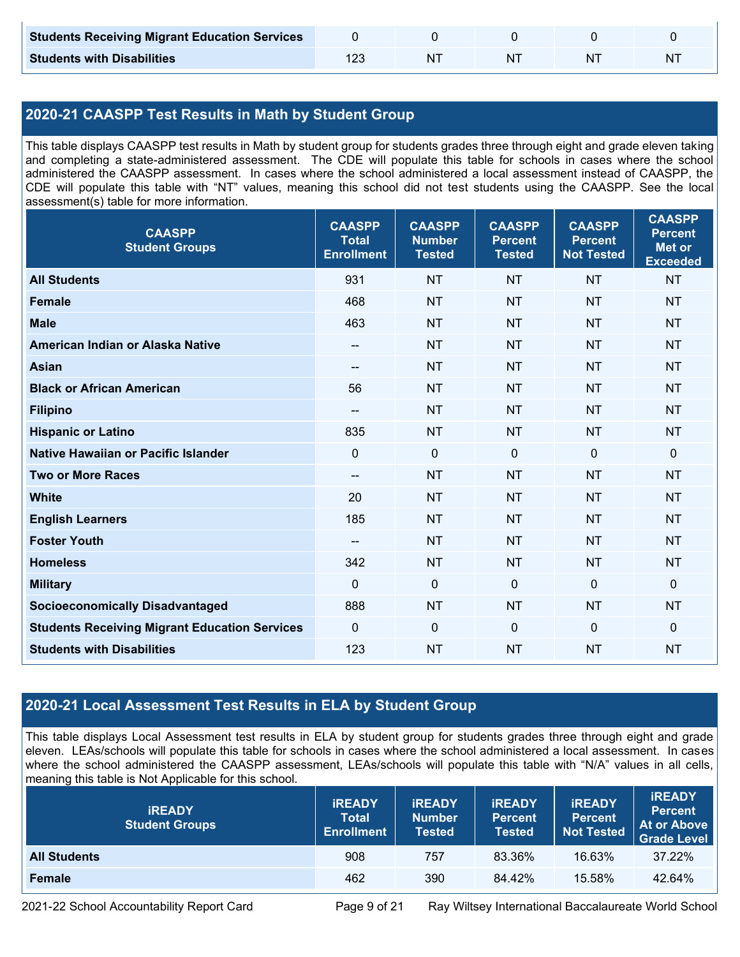| <b>Students Receiving Migrant Education Services</b> |    |    |   |
|------------------------------------------------------|----|----|---|
| <b>Students with Disabilities</b>                    | NΊ | N. | N |

#### **2020-21 CAASPP Test Results in Math by Student Group**

This table displays CAASPP test results in Math by student group for students grades three through eight and grade eleven taking and completing a state-administered assessment. The CDE will populate this table for schools in cases where the school administered the CAASPP assessment. In cases where the school administered a local assessment instead of CAASPP, the CDE will populate this table with "NT" values, meaning this school did not test students using the CAASPP. See the local assessment(s) table for more information.

| <b>CAASPP</b><br><b>Student Groups</b>               | <b>CAASPP</b><br><b>Total</b><br><b>Enrollment</b> | <b>CAASPP</b><br><b>Number</b><br><b>Tested</b> | <b>CAASPP</b><br><b>Percent</b><br><b>Tested</b> | <b>CAASPP</b><br><b>Percent</b><br><b>Not Tested</b> | <b>CAASPP</b><br><b>Percent</b><br><b>Met or</b><br><b>Exceeded</b> |
|------------------------------------------------------|----------------------------------------------------|-------------------------------------------------|--------------------------------------------------|------------------------------------------------------|---------------------------------------------------------------------|
| <b>All Students</b>                                  | 931                                                | <b>NT</b>                                       | <b>NT</b>                                        | <b>NT</b>                                            | <b>NT</b>                                                           |
| <b>Female</b>                                        | 468                                                | <b>NT</b>                                       | <b>NT</b>                                        | <b>NT</b>                                            | <b>NT</b>                                                           |
| <b>Male</b>                                          | 463                                                | <b>NT</b>                                       | <b>NT</b>                                        | <b>NT</b>                                            | <b>NT</b>                                                           |
| American Indian or Alaska Native                     | $\overline{\phantom{a}}$                           | <b>NT</b>                                       | <b>NT</b>                                        | <b>NT</b>                                            | <b>NT</b>                                                           |
| <b>Asian</b>                                         | $\overline{a}$                                     | <b>NT</b>                                       | <b>NT</b>                                        | <b>NT</b>                                            | <b>NT</b>                                                           |
| <b>Black or African American</b>                     | 56                                                 | NT                                              | <b>NT</b>                                        | <b>NT</b>                                            | <b>NT</b>                                                           |
| <b>Filipino</b>                                      | --                                                 | <b>NT</b>                                       | <b>NT</b>                                        | <b>NT</b>                                            | <b>NT</b>                                                           |
| <b>Hispanic or Latino</b>                            | 835                                                | <b>NT</b>                                       | <b>NT</b>                                        | <b>NT</b>                                            | <b>NT</b>                                                           |
| <b>Native Hawaiian or Pacific Islander</b>           | $\mathbf 0$                                        | $\mathbf 0$                                     | $\mathbf 0$                                      | $\mathbf 0$                                          | 0                                                                   |
| <b>Two or More Races</b>                             | --                                                 | <b>NT</b>                                       | <b>NT</b>                                        | <b>NT</b>                                            | <b>NT</b>                                                           |
| <b>White</b>                                         | 20                                                 | <b>NT</b>                                       | <b>NT</b>                                        | <b>NT</b>                                            | <b>NT</b>                                                           |
| <b>English Learners</b>                              | 185                                                | <b>NT</b>                                       | <b>NT</b>                                        | <b>NT</b>                                            | <b>NT</b>                                                           |
| <b>Foster Youth</b>                                  | $- -$                                              | <b>NT</b>                                       | <b>NT</b>                                        | <b>NT</b>                                            | <b>NT</b>                                                           |
| <b>Homeless</b>                                      | 342                                                | <b>NT</b>                                       | <b>NT</b>                                        | <b>NT</b>                                            | <b>NT</b>                                                           |
| <b>Military</b>                                      | $\Omega$                                           | $\mathbf 0$                                     | $\mathbf 0$                                      | $\mathbf 0$                                          | 0                                                                   |
| <b>Socioeconomically Disadvantaged</b>               | 888                                                | <b>NT</b>                                       | <b>NT</b>                                        | <b>NT</b>                                            | <b>NT</b>                                                           |
| <b>Students Receiving Migrant Education Services</b> | $\mathbf 0$                                        | 0                                               | $\mathbf 0$                                      | $\mathbf 0$                                          | 0                                                                   |
| <b>Students with Disabilities</b>                    | 123                                                | <b>NT</b>                                       | <b>NT</b>                                        | <b>NT</b>                                            | <b>NT</b>                                                           |

#### **2020-21 Local Assessment Test Results in ELA by Student Group**

This table displays Local Assessment test results in ELA by student group for students grades three through eight and grade eleven. LEAs/schools will populate this table for schools in cases where the school administered a local assessment. In cases where the school administered the CAASPP assessment, LEAs/schools will populate this table with "N/A" values in all cells, meaning this table is Not Applicable for this school.

| <b>IREADY</b><br><b>Student Groups</b> | <b>IREADY</b><br><b>Total</b><br><b>Enrollment</b> | <b>IREADY</b><br><b>Number</b><br><b>Tested</b> | <b><i>IREADY</i></b><br><b>Percent</b><br><b>Tested</b> | <b>IREADY</b><br>Percent<br><b>Not Tested</b> | <b>IREADY</b><br><b>Percent</b><br><b>At or Above</b><br><b>Grade Level</b> |
|----------------------------------------|----------------------------------------------------|-------------------------------------------------|---------------------------------------------------------|-----------------------------------------------|-----------------------------------------------------------------------------|
| <b>All Students</b>                    | 908                                                | 757                                             | 83.36%                                                  | 16.63%                                        | 37.22%                                                                      |
| Female                                 | 462                                                | 390                                             | 84.42%                                                  | 15.58%                                        | 42.64%                                                                      |

2021-22 School Accountability Report Card Page 9 of 21 Ray Wiltsey International Baccalaureate World School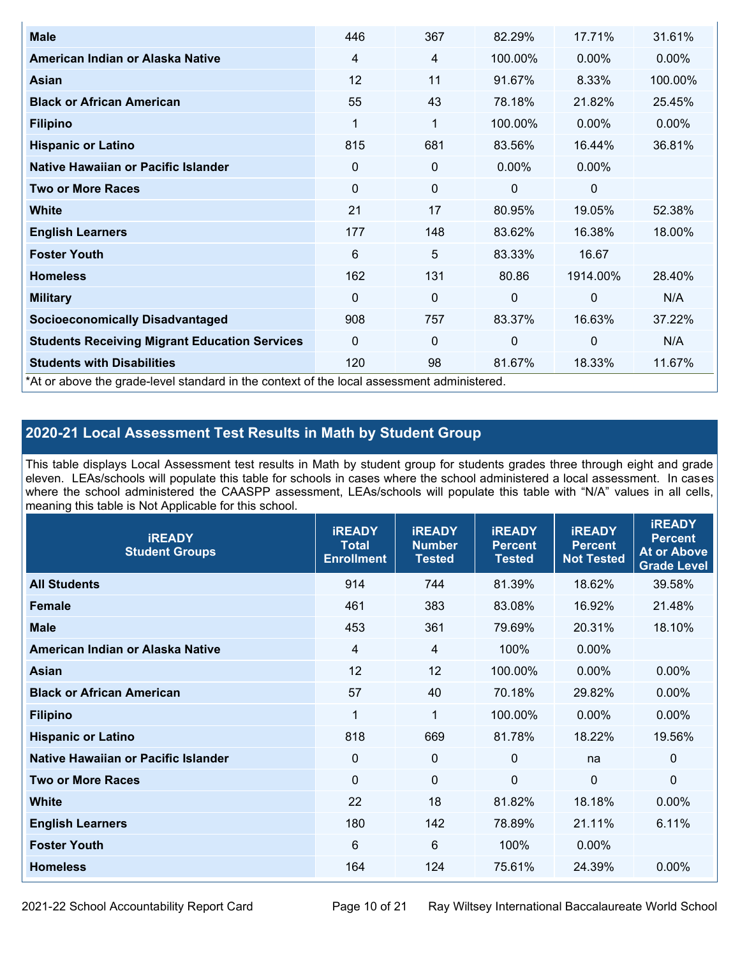| <b>Male</b>                                                                                | 446      | 367         | 82.29%       | 17.71%      | 31.61%   |
|--------------------------------------------------------------------------------------------|----------|-------------|--------------|-------------|----------|
| American Indian or Alaska Native                                                           | 4        | 4           | 100.00%      | 0.00%       | $0.00\%$ |
| Asian                                                                                      | 12       | 11          | 91.67%       | 8.33%       | 100.00%  |
| <b>Black or African American</b>                                                           | 55       | 43          | 78.18%       | 21.82%      | 25.45%   |
| <b>Filipino</b>                                                                            | 1        | 1           | 100.00%      | 0.00%       | 0.00%    |
| <b>Hispanic or Latino</b>                                                                  | 815      | 681         | 83.56%       | 16.44%      | 36.81%   |
| Native Hawaiian or Pacific Islander                                                        | 0        | $\mathbf 0$ | $0.00\%$     | 0.00%       |          |
| <b>Two or More Races</b>                                                                   | $\Omega$ | $\mathbf 0$ | 0            | $\mathbf 0$ |          |
| <b>White</b>                                                                               | 21       | 17          | 80.95%       | 19.05%      | 52.38%   |
| <b>English Learners</b>                                                                    | 177      | 148         | 83.62%       | 16.38%      | 18.00%   |
| <b>Foster Youth</b>                                                                        | 6        | 5           | 83.33%       | 16.67       |          |
| <b>Homeless</b>                                                                            | 162      | 131         | 80.86        | 1914.00%    | 28.40%   |
| <b>Military</b>                                                                            | $\Omega$ | $\mathbf 0$ | $\mathbf{0}$ | $\mathbf 0$ | N/A      |
| <b>Socioeconomically Disadvantaged</b>                                                     | 908      | 757         | 83.37%       | 16.63%      | 37.22%   |
| <b>Students Receiving Migrant Education Services</b>                                       | 0        | $\mathbf 0$ | 0            | $\mathbf 0$ | N/A      |
| <b>Students with Disabilities</b>                                                          | 120      | 98          | 81.67%       | 18.33%      | 11.67%   |
| *At or above the grade-level standard in the context of the local assessment administered. |          |             |              |             |          |

#### **2020-21 Local Assessment Test Results in Math by Student Group**

This table displays Local Assessment test results in Math by student group for students grades three through eight and grade eleven. LEAs/schools will populate this table for schools in cases where the school administered a local assessment. In cases where the school administered the CAASPP assessment, LEAs/schools will populate this table with "N/A" values in all cells, meaning this table is Not Applicable for this school.

| <b>iREADY</b><br><b>Student Groups</b> | <b>IREADY</b><br><b>Total</b><br><b>Enrollment</b> | <b>iREADY</b><br><b>Number</b><br><b>Tested</b> | <b>iREADY</b><br><b>Percent</b><br><b>Tested</b> | <b>IREADY</b><br><b>Percent</b><br><b>Not Tested</b> | <b>IREADY</b><br><b>Percent</b><br><b>At or Above</b><br><b>Grade Level</b> |
|----------------------------------------|----------------------------------------------------|-------------------------------------------------|--------------------------------------------------|------------------------------------------------------|-----------------------------------------------------------------------------|
| <b>All Students</b>                    | 914                                                | 744                                             | 81.39%                                           | 18.62%                                               | 39.58%                                                                      |
| <b>Female</b>                          | 461                                                | 383                                             | 83.08%                                           | 16.92%                                               | 21.48%                                                                      |
| <b>Male</b>                            | 453                                                | 361                                             | 79.69%                                           | 20.31%                                               | 18.10%                                                                      |
| American Indian or Alaska Native       | 4                                                  | 4                                               | 100%                                             | 0.00%                                                |                                                                             |
| Asian                                  | 12                                                 | 12                                              | 100.00%                                          | 0.00%                                                | 0.00%                                                                       |
| <b>Black or African American</b>       | 57                                                 | 40                                              | 70.18%                                           | 29.82%                                               | 0.00%                                                                       |
| <b>Filipino</b>                        | 1                                                  | 1                                               | 100.00%                                          | 0.00%                                                | 0.00%                                                                       |
| <b>Hispanic or Latino</b>              | 818                                                | 669                                             | 81.78%                                           | 18.22%                                               | 19.56%                                                                      |
| Native Hawaiian or Pacific Islander    | $\mathbf 0$                                        | $\mathbf 0$                                     | $\mathbf{0}$                                     | na                                                   | 0                                                                           |
| <b>Two or More Races</b>               | $\mathbf 0$                                        | $\mathbf 0$                                     | $\mathbf{0}$                                     | $\overline{0}$                                       | $\Omega$                                                                    |
| <b>White</b>                           | 22                                                 | 18                                              | 81.82%                                           | 18.18%                                               | 0.00%                                                                       |
| <b>English Learners</b>                | 180                                                | 142                                             | 78.89%                                           | 21.11%                                               | 6.11%                                                                       |
| <b>Foster Youth</b>                    | 6                                                  | 6                                               | 100%                                             | $0.00\%$                                             |                                                                             |
| <b>Homeless</b>                        | 164                                                | 124                                             | 75.61%                                           | 24.39%                                               | 0.00%                                                                       |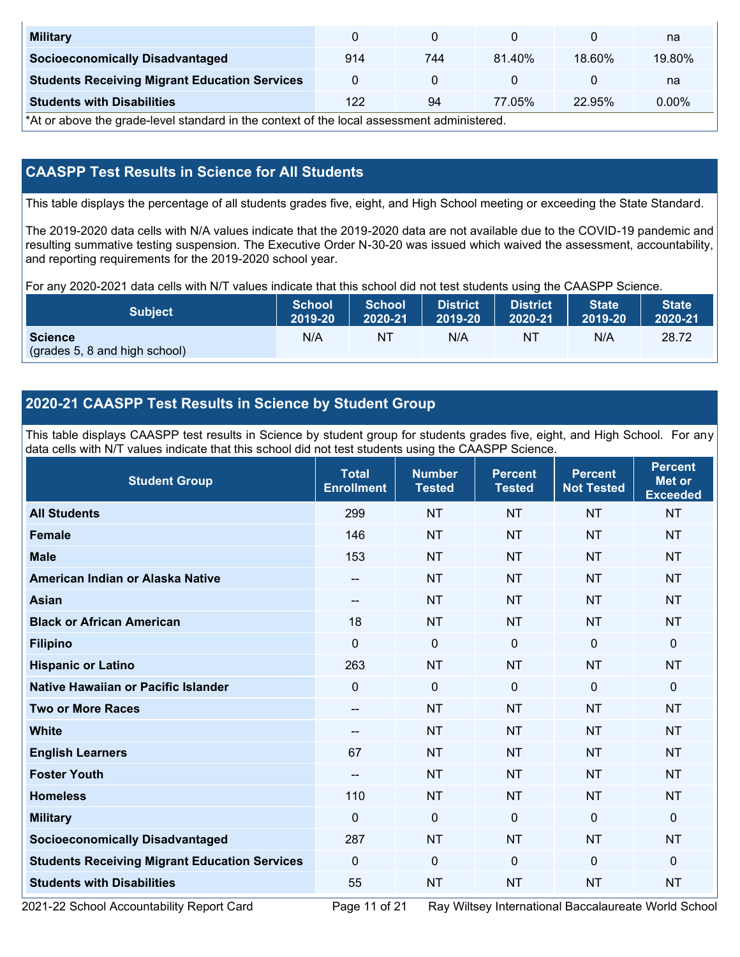| <b>Military</b>                                      |     |     |        |        | na       |
|------------------------------------------------------|-----|-----|--------|--------|----------|
| <b>Socioeconomically Disadvantaged</b>               | 914 | 744 | 81.40% | 18.60% | 19.80%   |
| <b>Students Receiving Migrant Education Services</b> |     |     |        |        | na       |
| <b>Students with Disabilities</b>                    | 122 | 94  | 77.05% | 22.95% | $0.00\%$ |

\*At or above the grade-level standard in the context of the local assessment administered.

#### **CAASPP Test Results in Science for All Students**

This table displays the percentage of all students grades five, eight, and High School meeting or exceeding the State Standard.

The 2019-2020 data cells with N/A values indicate that the 2019-2020 data are not available due to the COVID-19 pandemic and resulting summative testing suspension. The Executive Order N-30-20 was issued which waived the assessment, accountability, and reporting requirements for the 2019-2020 school year.

For any 2020-2021 data cells with N/T values indicate that this school did not test students using the CAASPP Science.

| <b>Subject</b>                                  | <b>School</b> | <b>School</b> | <b>District</b> | <b>District</b> | <b>State</b> | <b>State</b> |
|-------------------------------------------------|---------------|---------------|-----------------|-----------------|--------------|--------------|
|                                                 | 2019-20       | 2020-21       | 2019-20         | 2020-21         | 2019-20      | 2020-21      |
| <b>Science</b><br>(grades 5, 8 and high school) | N/A           | ΝT            | N/A             | N1              | N/A          | 28.72        |

#### **2020-21 CAASPP Test Results in Science by Student Group**

This table displays CAASPP test results in Science by student group for students grades five, eight, and High School. For any data cells with N/T values indicate that this school did not test students using the CAASPP Science.

| <b>Student Group</b>                                 | <b>Total</b><br><b>Enrollment</b> | <b>Number</b><br><b>Tested</b> | <b>Percent</b><br><b>Tested</b> | <b>Percent</b><br><b>Not Tested</b> | <b>Percent</b><br><b>Met or</b><br><b>Exceeded</b> |
|------------------------------------------------------|-----------------------------------|--------------------------------|---------------------------------|-------------------------------------|----------------------------------------------------|
| <b>All Students</b>                                  | 299                               | <b>NT</b>                      | <b>NT</b>                       | <b>NT</b>                           | <b>NT</b>                                          |
| <b>Female</b>                                        | 146                               | <b>NT</b>                      | <b>NT</b>                       | <b>NT</b>                           | <b>NT</b>                                          |
| <b>Male</b>                                          | 153                               | <b>NT</b>                      | <b>NT</b>                       | <b>NT</b>                           | <b>NT</b>                                          |
| American Indian or Alaska Native                     | $\overline{\phantom{a}}$          | <b>NT</b>                      | <b>NT</b>                       | <b>NT</b>                           | <b>NT</b>                                          |
| <b>Asian</b>                                         | $-$                               | <b>NT</b>                      | <b>NT</b>                       | <b>NT</b>                           | <b>NT</b>                                          |
| <b>Black or African American</b>                     | 18                                | <b>NT</b>                      | <b>NT</b>                       | <b>NT</b>                           | <b>NT</b>                                          |
| <b>Filipino</b>                                      | $\Omega$                          | $\mathbf 0$                    | $\mathbf{0}$                    | $\mathbf 0$                         | 0                                                  |
| <b>Hispanic or Latino</b>                            | 263                               | <b>NT</b>                      | <b>NT</b>                       | <b>NT</b>                           | <b>NT</b>                                          |
| <b>Native Hawaiian or Pacific Islander</b>           | $\Omega$                          | $\mathbf 0$                    | $\mathbf{0}$                    | $\mathbf{0}$                        | 0                                                  |
| <b>Two or More Races</b>                             | --                                | <b>NT</b>                      | <b>NT</b>                       | <b>NT</b>                           | <b>NT</b>                                          |
| <b>White</b>                                         | --                                | <b>NT</b>                      | <b>NT</b>                       | <b>NT</b>                           | <b>NT</b>                                          |
| <b>English Learners</b>                              | 67                                | <b>NT</b>                      | <b>NT</b>                       | <b>NT</b>                           | <b>NT</b>                                          |
| <b>Foster Youth</b>                                  | $\overline{\phantom{a}}$          | <b>NT</b>                      | <b>NT</b>                       | <b>NT</b>                           | <b>NT</b>                                          |
| <b>Homeless</b>                                      | 110                               | <b>NT</b>                      | <b>NT</b>                       | <b>NT</b>                           | <b>NT</b>                                          |
| <b>Military</b>                                      | $\mathbf 0$                       | $\mathbf 0$                    | $\mathbf{0}$                    | $\mathbf 0$                         | 0                                                  |
| <b>Socioeconomically Disadvantaged</b>               | 287                               | <b>NT</b>                      | <b>NT</b>                       | <b>NT</b>                           | <b>NT</b>                                          |
| <b>Students Receiving Migrant Education Services</b> | $\mathbf{0}$                      | $\mathbf 0$                    | $\mathbf 0$                     | $\mathbf{0}$                        | $\Omega$                                           |
| <b>Students with Disabilities</b>                    | 55                                | <b>NT</b>                      | <b>NT</b>                       | <b>NT</b>                           | <b>NT</b>                                          |

2021-22 School Accountability Report Card Page 11 of 21 Ray Wiltsey International Baccalaureate World School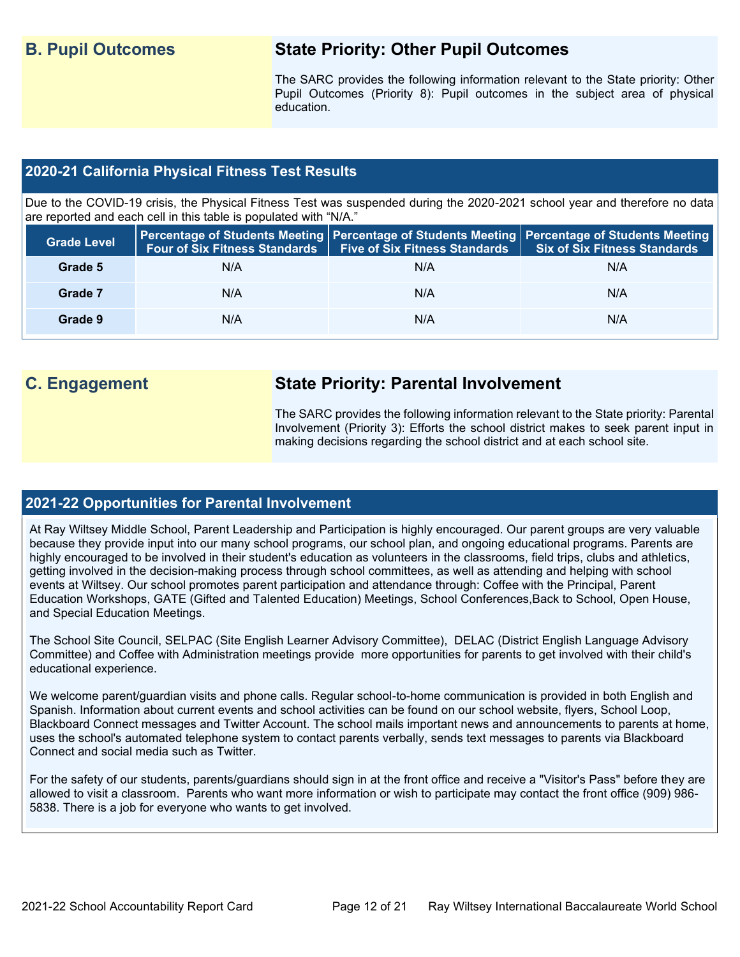### **B. Pupil Outcomes State Priority: Other Pupil Outcomes**

The SARC provides the following information relevant to the State priority: Other Pupil Outcomes (Priority 8): Pupil outcomes in the subject area of physical education.

#### **2020-21 California Physical Fitness Test Results**

Due to the COVID-19 crisis, the Physical Fitness Test was suspended during the 2020-2021 school year and therefore no data are reported and each cell in this table is populated with "N/A."

| <b>Grade Level</b> |     | Four of Six Fitness Standards   Five of Six Fitness Standards | Percentage of Students Meeting   Percentage of Students Meeting   Percentage of Students Meeting  <br>Six of Six Fitness Standards |
|--------------------|-----|---------------------------------------------------------------|------------------------------------------------------------------------------------------------------------------------------------|
| Grade 5            | N/A | N/A                                                           | N/A                                                                                                                                |
| Grade 7            | N/A | N/A                                                           | N/A                                                                                                                                |
| Grade 9            | N/A | N/A                                                           | N/A                                                                                                                                |

### **C. Engagement State Priority: Parental Involvement**

The SARC provides the following information relevant to the State priority: Parental Involvement (Priority 3): Efforts the school district makes to seek parent input in making decisions regarding the school district and at each school site.

#### **2021-22 Opportunities for Parental Involvement**

At Ray Wiltsey Middle School, Parent Leadership and Participation is highly encouraged. Our parent groups are very valuable because they provide input into our many school programs, our school plan, and ongoing educational programs. Parents are highly encouraged to be involved in their student's education as volunteers in the classrooms, field trips, clubs and athletics, getting involved in the decision-making process through school committees, as well as attending and helping with school events at Wiltsey. Our school promotes parent participation and attendance through: Coffee with the Principal, Parent Education Workshops, GATE (Gifted and Talented Education) Meetings, School Conferences,Back to School, Open House, and Special Education Meetings.

The School Site Council, SELPAC (Site English Learner Advisory Committee), DELAC (District English Language Advisory Committee) and Coffee with Administration meetings provide more opportunities for parents to get involved with their child's educational experience.

We welcome parent/guardian visits and phone calls. Regular school-to-home communication is provided in both English and Spanish. Information about current events and school activities can be found on our school website, flyers, School Loop, Blackboard Connect messages and Twitter Account. The school mails important news and announcements to parents at home, uses the school's automated telephone system to contact parents verbally, sends text messages to parents via Blackboard Connect and social media such as Twitter.

For the safety of our students, parents/guardians should sign in at the front office and receive a "Visitor's Pass" before they are allowed to visit a classroom. Parents who want more information or wish to participate may contact the front office (909) 986- 5838. There is a job for everyone who wants to get involved.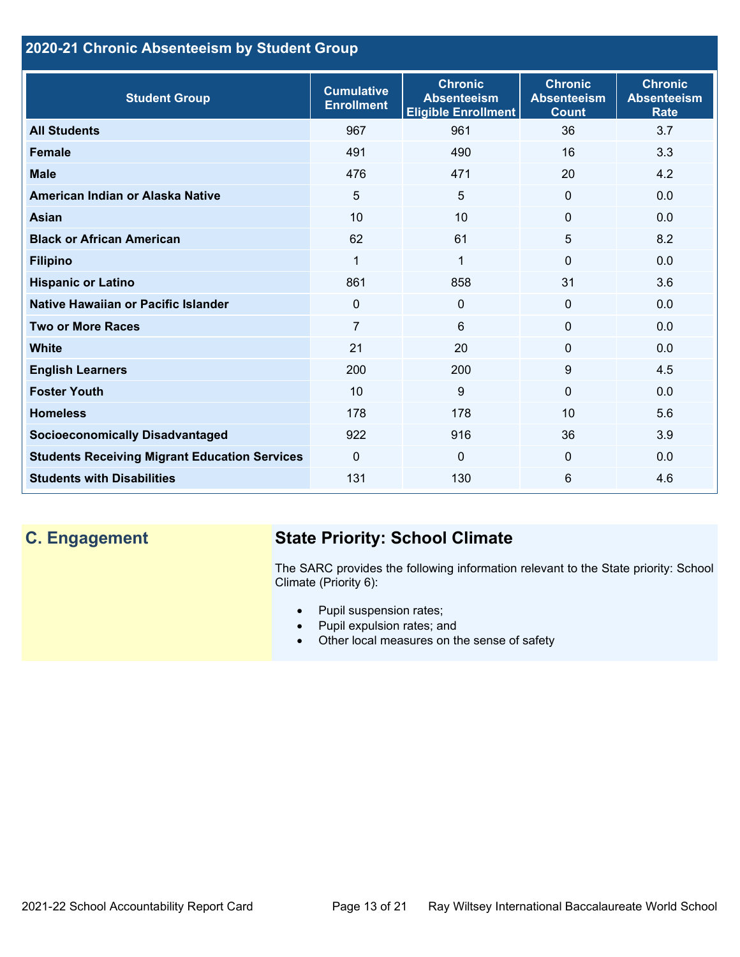### **2020-21 Chronic Absenteeism by Student Group**

| <b>Student Group</b>                                 | <b>Cumulative</b><br><b>Enrollment</b> | <b>Chronic</b><br><b>Absenteeism</b><br><b>Eligible Enrollment</b> | <b>Chronic</b><br><b>Absenteeism</b><br><b>Count</b> | <b>Chronic</b><br><b>Absenteeism</b><br><b>Rate</b> |
|------------------------------------------------------|----------------------------------------|--------------------------------------------------------------------|------------------------------------------------------|-----------------------------------------------------|
| <b>All Students</b>                                  | 967                                    | 961                                                                | 36                                                   | 3.7                                                 |
| <b>Female</b>                                        | 491                                    | 490                                                                | 16                                                   | 3.3                                                 |
| <b>Male</b>                                          | 476                                    | 471                                                                | 20                                                   | 4.2                                                 |
| American Indian or Alaska Native                     | 5                                      | $5\phantom{.0}$                                                    | $\mathbf{0}$                                         | 0.0                                                 |
| <b>Asian</b>                                         | 10                                     | 10                                                                 | $\Omega$                                             | 0.0                                                 |
| <b>Black or African American</b>                     | 62                                     | 61                                                                 | 5                                                    | 8.2                                                 |
| <b>Filipino</b>                                      | 1                                      | 1                                                                  | $\mathbf{0}$                                         | 0.0                                                 |
| <b>Hispanic or Latino</b>                            | 861                                    | 858                                                                | 31                                                   | 3.6                                                 |
| Native Hawaiian or Pacific Islander                  | $\Omega$                               | $\mathbf 0$                                                        | $\mathbf 0$                                          | 0.0                                                 |
| <b>Two or More Races</b>                             | 7                                      | 6                                                                  | $\Omega$                                             | 0.0                                                 |
| <b>White</b>                                         | 21                                     | 20                                                                 | $\Omega$                                             | 0.0                                                 |
| <b>English Learners</b>                              | 200                                    | 200                                                                | 9                                                    | 4.5                                                 |
| <b>Foster Youth</b>                                  | 10                                     | 9                                                                  | $\Omega$                                             | 0.0                                                 |
| <b>Homeless</b>                                      | 178                                    | 178                                                                | 10                                                   | 5.6                                                 |
| <b>Socioeconomically Disadvantaged</b>               | 922                                    | 916                                                                | 36                                                   | 3.9                                                 |
| <b>Students Receiving Migrant Education Services</b> | $\mathbf{0}$                           | $\mathbf{0}$                                                       | $\Omega$                                             | 0.0                                                 |
| <b>Students with Disabilities</b>                    | 131                                    | 130                                                                | 6                                                    | 4.6                                                 |

# **C. Engagement State Priority: School Climate**

The SARC provides the following information relevant to the State priority: School Climate (Priority 6):

- Pupil suspension rates;
- Pupil expulsion rates; and
- Other local measures on the sense of safety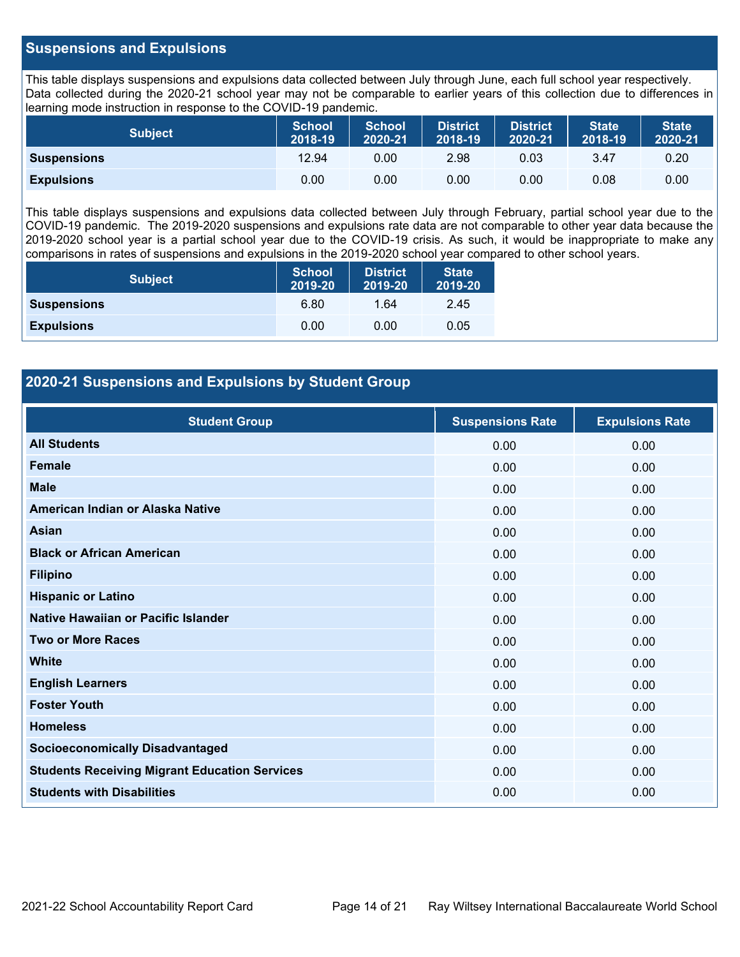#### **Suspensions and Expulsions**

This table displays suspensions and expulsions data collected between July through June, each full school year respectively. Data collected during the 2020-21 school year may not be comparable to earlier years of this collection due to differences in learning mode instruction in response to the COVID-19 pandemic.

| <b>Subject</b>     | <b>School</b><br>2018-19 | <b>School</b><br>2020-21 | <b>District</b><br>2018-19 | <b>District</b><br>2020-21 | <b>State</b><br>2018-19 | <b>State</b><br>2020-21 |
|--------------------|--------------------------|--------------------------|----------------------------|----------------------------|-------------------------|-------------------------|
| <b>Suspensions</b> | 12.94                    | 0.00                     | 2.98                       | 0.03                       | 3.47                    | 0.20                    |
| <b>Expulsions</b>  | 0.00                     | 0.00                     | 0.00                       | 0.00                       | 0.08                    | 0.00                    |

This table displays suspensions and expulsions data collected between July through February, partial school year due to the COVID-19 pandemic. The 2019-2020 suspensions and expulsions rate data are not comparable to other year data because the 2019-2020 school year is a partial school year due to the COVID-19 crisis. As such, it would be inappropriate to make any comparisons in rates of suspensions and expulsions in the 2019-2020 school year compared to other school years.

| <b>Subject</b>     | <b>School</b><br>2019-20 | <b>District</b><br>2019-20 | <b>State</b><br>2019-20 |  |
|--------------------|--------------------------|----------------------------|-------------------------|--|
| <b>Suspensions</b> | 6.80                     | 1.64                       | 2.45                    |  |
| <b>Expulsions</b>  | 0.00                     | 0.00                       | 0.05                    |  |

#### **2020-21 Suspensions and Expulsions by Student Group**

| <b>Student Group</b>                                 | <b>Suspensions Rate</b> | <b>Expulsions Rate</b> |
|------------------------------------------------------|-------------------------|------------------------|
| <b>All Students</b>                                  | 0.00                    | 0.00                   |
| <b>Female</b>                                        | 0.00                    | 0.00                   |
| <b>Male</b>                                          | 0.00                    | 0.00                   |
| American Indian or Alaska Native                     | 0.00                    | 0.00                   |
| <b>Asian</b>                                         | 0.00                    | 0.00                   |
| <b>Black or African American</b>                     | 0.00                    | 0.00                   |
| <b>Filipino</b>                                      | 0.00                    | 0.00                   |
| <b>Hispanic or Latino</b>                            | 0.00                    | 0.00                   |
| Native Hawaiian or Pacific Islander                  | 0.00                    | 0.00                   |
| <b>Two or More Races</b>                             | 0.00                    | 0.00                   |
| <b>White</b>                                         | 0.00                    | 0.00                   |
| <b>English Learners</b>                              | 0.00                    | 0.00                   |
| <b>Foster Youth</b>                                  | 0.00                    | 0.00                   |
| <b>Homeless</b>                                      | 0.00                    | 0.00                   |
| <b>Socioeconomically Disadvantaged</b>               | 0.00                    | 0.00                   |
| <b>Students Receiving Migrant Education Services</b> | 0.00                    | 0.00                   |
| <b>Students with Disabilities</b>                    | 0.00                    | 0.00                   |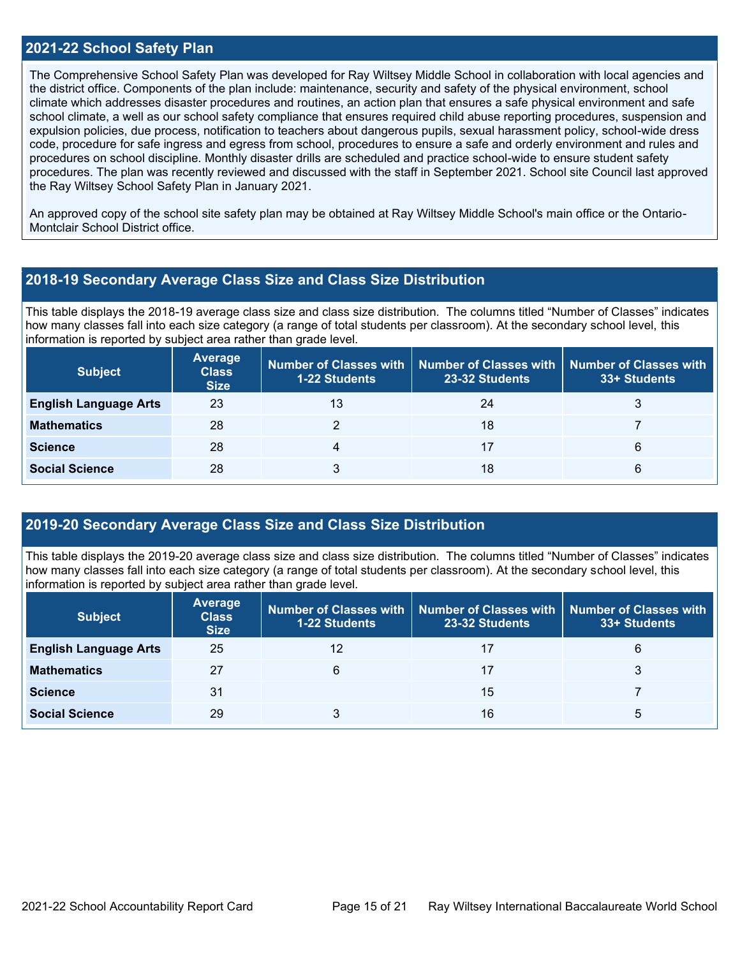#### **2021-22 School Safety Plan**

The Comprehensive School Safety Plan was developed for Ray Wiltsey Middle School in collaboration with local agencies and the district office. Components of the plan include: maintenance, security and safety of the physical environment, school climate which addresses disaster procedures and routines, an action plan that ensures a safe physical environment and safe school climate, a well as our school safety compliance that ensures required child abuse reporting procedures, suspension and expulsion policies, due process, notification to teachers about dangerous pupils, sexual harassment policy, school-wide dress code, procedure for safe ingress and egress from school, procedures to ensure a safe and orderly environment and rules and procedures on school discipline. Monthly disaster drills are scheduled and practice school-wide to ensure student safety procedures. The plan was recently reviewed and discussed with the staff in September 2021. School site Council last approved the Ray Wiltsey School Safety Plan in January 2021.

An approved copy of the school site safety plan may be obtained at Ray Wiltsey Middle School's main office or the Ontario-Montclair School District office.

#### **2018-19 Secondary Average Class Size and Class Size Distribution**

This table displays the 2018-19 average class size and class size distribution. The columns titled "Number of Classes" indicates how many classes fall into each size category (a range of total students per classroom). At the secondary school level, this information is reported by subject area rather than grade level.

| <b>Subject</b>               | Average<br><b>Class</b><br><b>Size</b> | <b>1-22 Students</b> | Number of Classes with Number of Classes with<br>23-32 Students | Number of Classes with<br>33+ Students |
|------------------------------|----------------------------------------|----------------------|-----------------------------------------------------------------|----------------------------------------|
| <b>English Language Arts</b> | 23                                     | 13                   | 24                                                              | 3                                      |
| <b>Mathematics</b>           | 28                                     |                      | 18                                                              |                                        |
| <b>Science</b>               | 28                                     |                      | 17                                                              | 6                                      |
| <b>Social Science</b>        | 28                                     |                      | 18                                                              | 6                                      |

#### **2019-20 Secondary Average Class Size and Class Size Distribution**

This table displays the 2019-20 average class size and class size distribution. The columns titled "Number of Classes" indicates how many classes fall into each size category (a range of total students per classroom). At the secondary school level, this information is reported by subject area rather than grade level.

| <b>Subject</b>               | <b>Average</b><br><b>Class</b><br><b>Size</b> | 1-22 Students | $\mid$ Number of Classes with $\mid$ Number of Classes with $\mid$ Number of Classes with<br>23-32 Students | 33+ Students |
|------------------------------|-----------------------------------------------|---------------|-------------------------------------------------------------------------------------------------------------|--------------|
| <b>English Language Arts</b> | 25                                            | 12            | 17                                                                                                          | 6            |
| <b>Mathematics</b>           | 27                                            | 6             | 17                                                                                                          |              |
| <b>Science</b>               | 31                                            |               | 15                                                                                                          |              |
| <b>Social Science</b>        | 29                                            |               | 16                                                                                                          | ۰.           |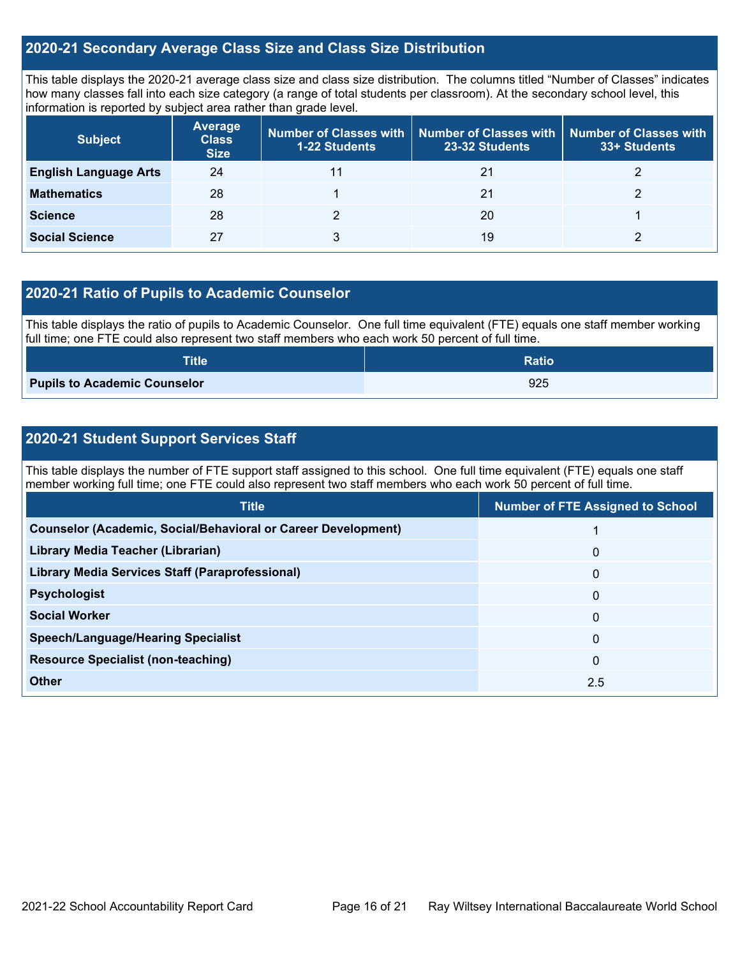#### **2020-21 Secondary Average Class Size and Class Size Distribution**

This table displays the 2020-21 average class size and class size distribution. The columns titled "Number of Classes" indicates how many classes fall into each size category (a range of total students per classroom). At the secondary school level, this information is reported by subject area rather than grade level.

| <b>Subject</b>               | <b>Average</b><br><b>Class</b><br><b>Size</b> | <b>1-22 Students</b> | Number of Classes with   Number of Classes with  <br>23-32 Students | Number of Classes with<br>33+ Students |
|------------------------------|-----------------------------------------------|----------------------|---------------------------------------------------------------------|----------------------------------------|
| <b>English Language Arts</b> | 24                                            |                      | 21                                                                  |                                        |
| <b>Mathematics</b>           | 28                                            |                      | 21                                                                  |                                        |
| <b>Science</b>               | 28                                            |                      | 20                                                                  |                                        |
| <b>Social Science</b>        | 27                                            |                      | 19                                                                  |                                        |

#### **2020-21 Ratio of Pupils to Academic Counselor**

This table displays the ratio of pupils to Academic Counselor. One full time equivalent (FTE) equals one staff member working full time; one FTE could also represent two staff members who each work 50 percent of full time.

| <b>Title</b>                        | <b>Ratio</b> |
|-------------------------------------|--------------|
| <b>Pupils to Academic Counselor</b> | 925          |

#### **2020-21 Student Support Services Staff**

This table displays the number of FTE support staff assigned to this school. One full time equivalent (FTE) equals one staff member working full time; one FTE could also represent two staff members who each work 50 percent of full time.

| <b>Title</b>                                                         | <b>Number of FTE Assigned to School</b> |
|----------------------------------------------------------------------|-----------------------------------------|
| <b>Counselor (Academic, Social/Behavioral or Career Development)</b> |                                         |
| Library Media Teacher (Librarian)                                    | $\mathbf 0$                             |
| <b>Library Media Services Staff (Paraprofessional)</b>               | $\mathbf{0}$                            |
| <b>Psychologist</b>                                                  | $\mathbf{0}$                            |
| <b>Social Worker</b>                                                 | $\mathbf{0}$                            |
| <b>Speech/Language/Hearing Specialist</b>                            | $\Omega$                                |
| <b>Resource Specialist (non-teaching)</b>                            | $\mathbf{0}$                            |
| Other                                                                | 2.5                                     |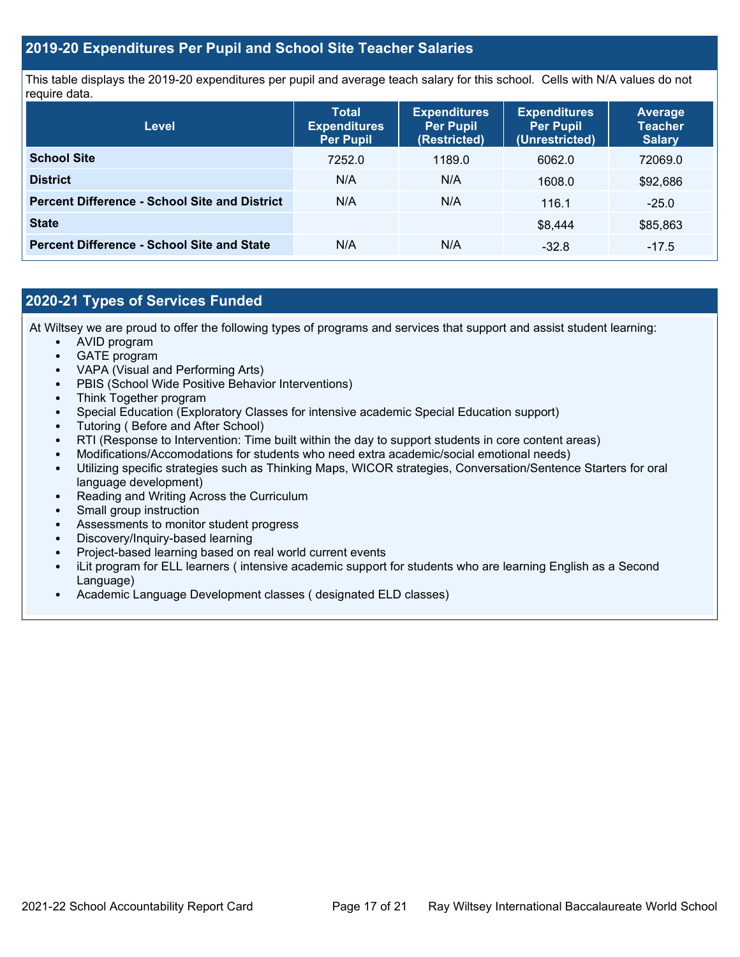#### **2019-20 Expenditures Per Pupil and School Site Teacher Salaries**

This table displays the 2019-20 expenditures per pupil and average teach salary for this school. Cells with N/A values do not require data.

| <b>Level</b>                                         | <b>Total</b><br><b>Expenditures</b><br><b>Per Pupil</b> | <b>Expenditures</b><br><b>Per Pupil</b><br>(Restricted) | <b>Expenditures</b><br><b>Per Pupil</b><br>(Unrestricted) | <b>Average</b><br><b>Teacher</b><br><b>Salary</b> |
|------------------------------------------------------|---------------------------------------------------------|---------------------------------------------------------|-----------------------------------------------------------|---------------------------------------------------|
| <b>School Site</b>                                   | 7252.0                                                  | 1189.0                                                  | 6062.0                                                    | 72069.0                                           |
| <b>District</b>                                      | N/A                                                     | N/A                                                     | 1608.0                                                    | \$92,686                                          |
| <b>Percent Difference - School Site and District</b> | N/A                                                     | N/A                                                     | 116.1                                                     | $-25.0$                                           |
| <b>State</b>                                         |                                                         |                                                         | \$8.444                                                   | \$85,863                                          |
| <b>Percent Difference - School Site and State</b>    | N/A                                                     | N/A                                                     | $-32.8$                                                   | $-17.5$                                           |

#### **2020-21 Types of Services Funded**

At Wiltsey we are proud to offer the following types of programs and services that support and assist student learning:

- AVID program
- GATE program
- VAPA (Visual and Performing Arts)
- PBIS (School Wide Positive Behavior Interventions)
- Think Together program
- Special Education (Exploratory Classes for intensive academic Special Education support)
- Tutoring ( Before and After School)
- RTI (Response to Intervention: Time built within the day to support students in core content areas)
- Modifications/Accomodations for students who need extra academic/social emotional needs)
- Utilizing specific strategies such as Thinking Maps, WICOR strategies, Conversation/Sentence Starters for oral language development)
- Reading and Writing Across the Curriculum
- Small group instruction
- Assessments to monitor student progress
- Discovery/Inquiry-based learning
- Project-based learning based on real world current events
- iLit program for ELL learners ( intensive academic support for students who are learning English as a Second Language)
- Academic Language Development classes ( designated ELD classes)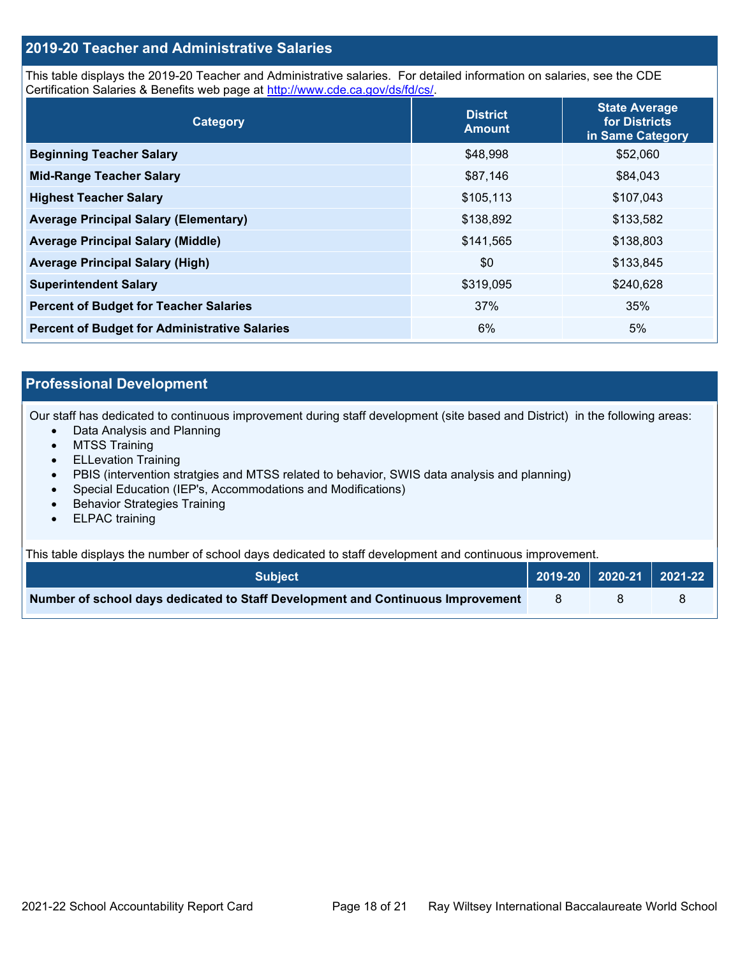#### **2019-20 Teacher and Administrative Salaries**

This table displays the 2019-20 Teacher and Administrative salaries. For detailed information on salaries, see the CDE Certification Salaries & Benefits web page at [http://www.cde.ca.gov/ds/fd/cs/.](http://www.cde.ca.gov/ds/fd/cs/)

| Category                                             | <b>District</b><br><b>Amount</b> | <b>State Average</b><br>for Districts<br>in Same Category |
|------------------------------------------------------|----------------------------------|-----------------------------------------------------------|
| <b>Beginning Teacher Salary</b>                      | \$48,998                         | \$52,060                                                  |
| <b>Mid-Range Teacher Salary</b>                      | \$87,146                         | \$84,043                                                  |
| <b>Highest Teacher Salary</b>                        | \$105,113                        | \$107,043                                                 |
| <b>Average Principal Salary (Elementary)</b>         | \$138,892                        | \$133,582                                                 |
| <b>Average Principal Salary (Middle)</b>             | \$141,565                        | \$138,803                                                 |
| <b>Average Principal Salary (High)</b>               | \$0                              | \$133,845                                                 |
| <b>Superintendent Salary</b>                         | \$319,095                        | \$240,628                                                 |
| <b>Percent of Budget for Teacher Salaries</b>        | 37%                              | 35%                                                       |
| <b>Percent of Budget for Administrative Salaries</b> | 6%                               | 5%                                                        |

### **Professional Development**

Our staff has dedicated to continuous improvement during staff development (site based and District) in the following areas:

- Data Analysis and Planning
- MTSS Training
- ELLevation Training
- PBIS (intervention stratgies and MTSS related to behavior, SWIS data analysis and planning)
- Special Education (IEP's, Accommodations and Modifications)
- Behavior Strategies Training
- ELPAC training

This table displays the number of school days dedicated to staff development and continuous improvement.

| <b>Subiect</b>                                                                  |  | 2019-20   2020-21   2021-22 |
|---------------------------------------------------------------------------------|--|-----------------------------|
| Number of school days dedicated to Staff Development and Continuous Improvement |  |                             |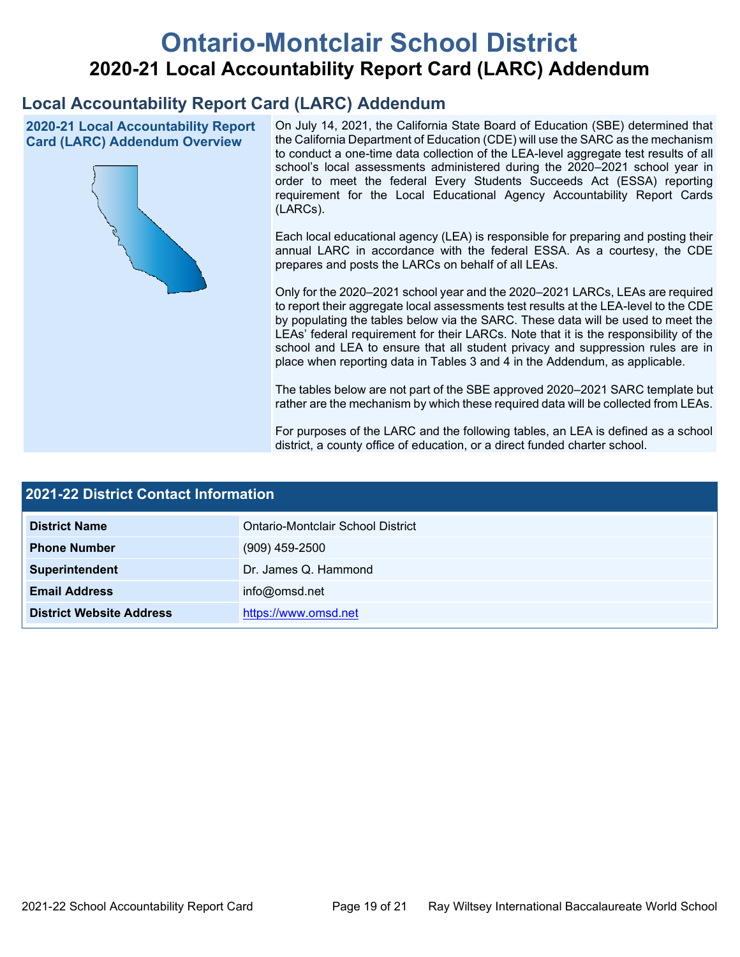# **Ontario-Montclair School District 2020-21 Local Accountability Report Card (LARC) Addendum**

# **Local Accountability Report Card (LARC) Addendum**

**2020-21 Local Accountability Report Card (LARC) Addendum Overview**



On July 14, 2021, the California State Board of Education (SBE) determined that the California Department of Education (CDE) will use the SARC as the mechanism to conduct a one-time data collection of the LEA-level aggregate test results of all school's local assessments administered during the 2020–2021 school year in order to meet the federal Every Students Succeeds Act (ESSA) reporting requirement for the Local Educational Agency Accountability Report Cards (LARCs).

Each local educational agency (LEA) is responsible for preparing and posting their annual LARC in accordance with the federal ESSA. As a courtesy, the CDE prepares and posts the LARCs on behalf of all LEAs.

Only for the 2020–2021 school year and the 2020–2021 LARCs, LEAs are required to report their aggregate local assessments test results at the LEA-level to the CDE by populating the tables below via the SARC. These data will be used to meet the LEAs' federal requirement for their LARCs. Note that it is the responsibility of the school and LEA to ensure that all student privacy and suppression rules are in place when reporting data in Tables 3 and 4 in the Addendum, as applicable.

The tables below are not part of the SBE approved 2020–2021 SARC template but rather are the mechanism by which these required data will be collected from LEAs.

For purposes of the LARC and the following tables, an LEA is defined as a school district, a county office of education, or a direct funded charter school.

| 2021-22 District Contact Information |                                   |  |  |  |  |
|--------------------------------------|-----------------------------------|--|--|--|--|
| <b>District Name</b>                 | Ontario-Montclair School District |  |  |  |  |
| <b>Phone Number</b>                  | $(909)$ 459-2500                  |  |  |  |  |
| Superintendent                       | Dr. James Q. Hammond              |  |  |  |  |
| <b>Email Address</b>                 | info@omsd.net                     |  |  |  |  |
| <b>District Website Address</b>      | https://www.omsd.net              |  |  |  |  |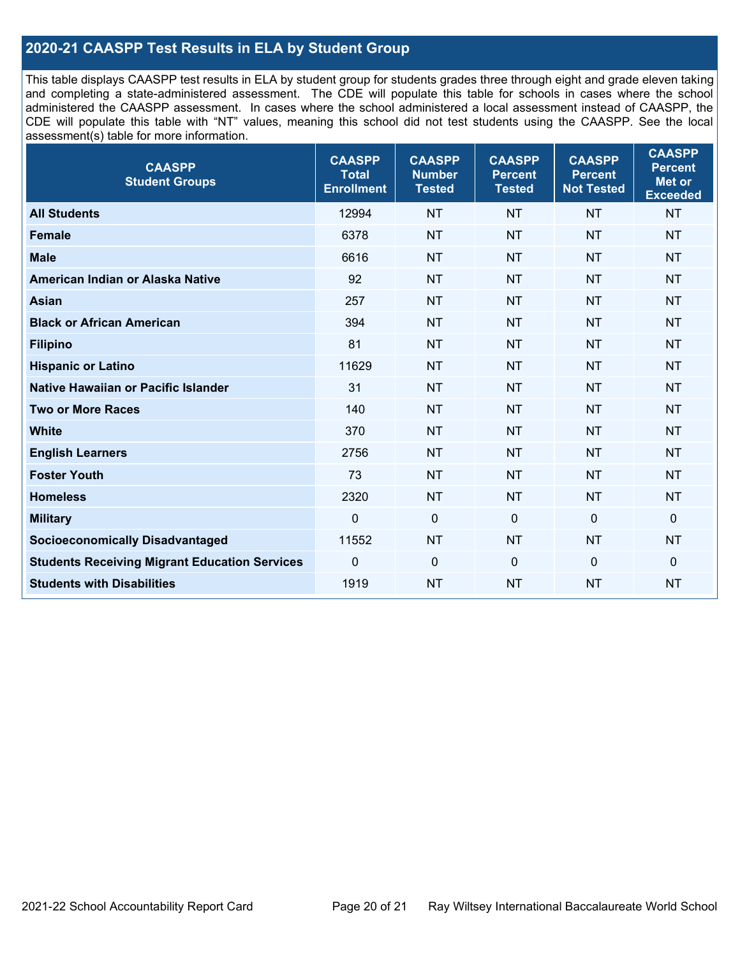#### **2020-21 CAASPP Test Results in ELA by Student Group**

This table displays CAASPP test results in ELA by student group for students grades three through eight and grade eleven taking and completing a state-administered assessment. The CDE will populate this table for schools in cases where the school administered the CAASPP assessment. In cases where the school administered a local assessment instead of CAASPP, the CDE will populate this table with "NT" values, meaning this school did not test students using the CAASPP. See the local assessment(s) table for more information.

| <b>CAASPP</b><br><b>Student Groups</b>               | <b>CAASPP</b><br><b>Total</b><br><b>Enrollment</b> | <b>CAASPP</b><br><b>Number</b><br><b>Tested</b> | <b>CAASPP</b><br><b>Percent</b><br><b>Tested</b> | <b>CAASPP</b><br><b>Percent</b><br><b>Not Tested</b> | <b>CAASPP</b><br><b>Percent</b><br><b>Met or</b><br><b>Exceeded</b> |
|------------------------------------------------------|----------------------------------------------------|-------------------------------------------------|--------------------------------------------------|------------------------------------------------------|---------------------------------------------------------------------|
| <b>All Students</b>                                  | 12994                                              | <b>NT</b>                                       | <b>NT</b>                                        | <b>NT</b>                                            | <b>NT</b>                                                           |
| <b>Female</b>                                        | 6378                                               | <b>NT</b>                                       | <b>NT</b>                                        | <b>NT</b>                                            | <b>NT</b>                                                           |
| <b>Male</b>                                          | 6616                                               | <b>NT</b>                                       | <b>NT</b>                                        | <b>NT</b>                                            | <b>NT</b>                                                           |
| American Indian or Alaska Native                     | 92                                                 | <b>NT</b>                                       | <b>NT</b>                                        | <b>NT</b>                                            | <b>NT</b>                                                           |
| <b>Asian</b>                                         | 257                                                | <b>NT</b>                                       | <b>NT</b>                                        | <b>NT</b>                                            | <b>NT</b>                                                           |
| <b>Black or African American</b>                     | 394                                                | <b>NT</b>                                       | <b>NT</b>                                        | <b>NT</b>                                            | <b>NT</b>                                                           |
| <b>Filipino</b>                                      | 81                                                 | <b>NT</b>                                       | <b>NT</b>                                        | <b>NT</b>                                            | <b>NT</b>                                                           |
| <b>Hispanic or Latino</b>                            | 11629                                              | <b>NT</b>                                       | <b>NT</b>                                        | <b>NT</b>                                            | <b>NT</b>                                                           |
| Native Hawaiian or Pacific Islander                  | 31                                                 | <b>NT</b>                                       | <b>NT</b>                                        | <b>NT</b>                                            | <b>NT</b>                                                           |
| <b>Two or More Races</b>                             | 140                                                | <b>NT</b>                                       | <b>NT</b>                                        | <b>NT</b>                                            | <b>NT</b>                                                           |
| <b>White</b>                                         | 370                                                | <b>NT</b>                                       | <b>NT</b>                                        | <b>NT</b>                                            | <b>NT</b>                                                           |
| <b>English Learners</b>                              | 2756                                               | <b>NT</b>                                       | <b>NT</b>                                        | <b>NT</b>                                            | <b>NT</b>                                                           |
| <b>Foster Youth</b>                                  | 73                                                 | <b>NT</b>                                       | <b>NT</b>                                        | <b>NT</b>                                            | <b>NT</b>                                                           |
| <b>Homeless</b>                                      | 2320                                               | <b>NT</b>                                       | <b>NT</b>                                        | <b>NT</b>                                            | <b>NT</b>                                                           |
| <b>Military</b>                                      | $\mathbf 0$                                        | $\boldsymbol{0}$                                | $\mathbf{0}$                                     | $\mathbf 0$                                          | $\mathbf 0$                                                         |
| <b>Socioeconomically Disadvantaged</b>               | 11552                                              | <b>NT</b>                                       | <b>NT</b>                                        | <b>NT</b>                                            | <b>NT</b>                                                           |
| <b>Students Receiving Migrant Education Services</b> | $\mathbf 0$                                        | $\boldsymbol{0}$                                | $\Omega$                                         | $\mathbf 0$                                          | $\pmb{0}$                                                           |
| <b>Students with Disabilities</b>                    | 1919                                               | <b>NT</b>                                       | <b>NT</b>                                        | <b>NT</b>                                            | <b>NT</b>                                                           |